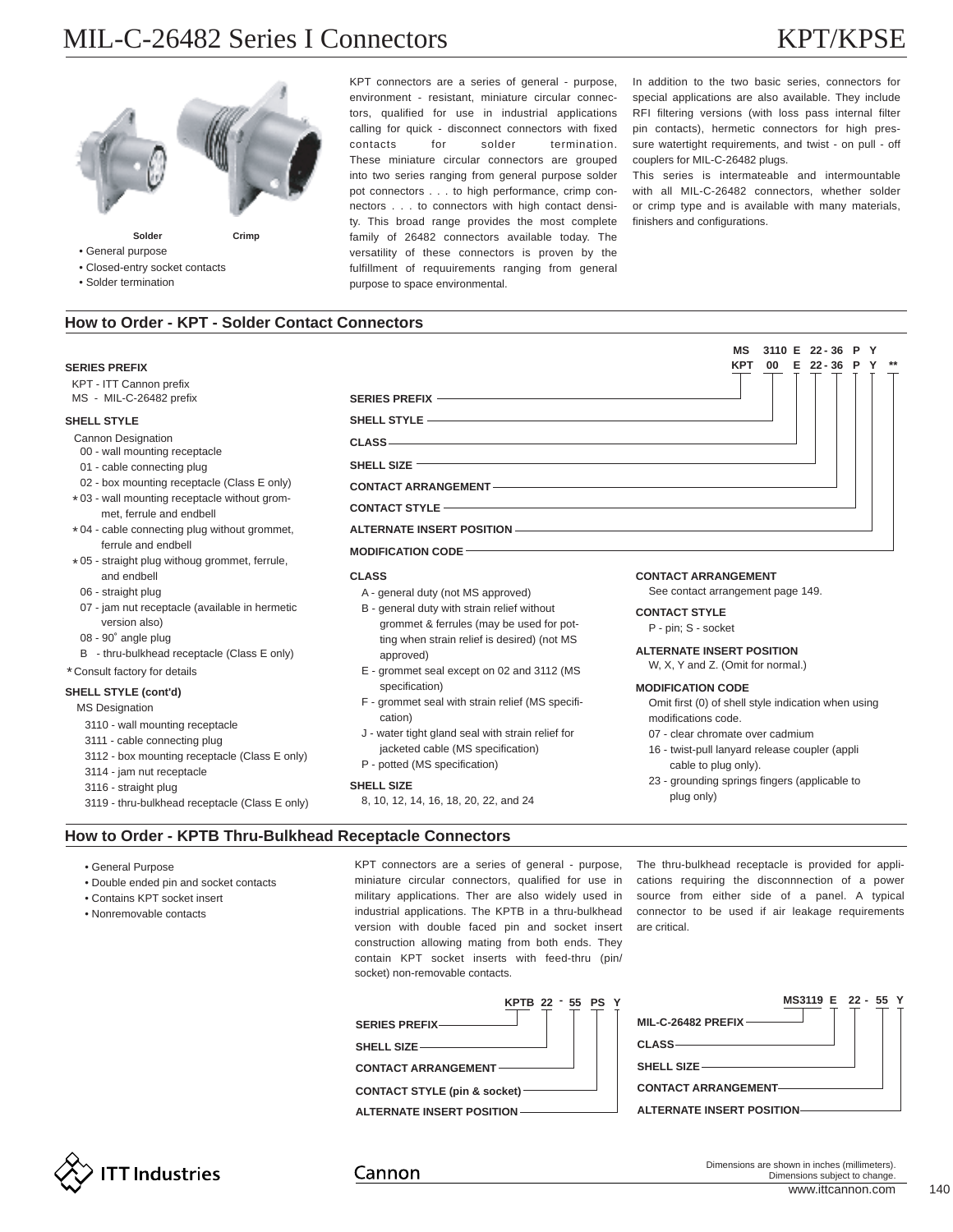# MIL-C-26482 Series I Connectors KPT/KPSE



KPT connectors are a series of general - purpose, environment - resistant, miniature circular connectors, qualified for use in industrial applications calling for quick - disconnect connectors with fixed contacts for solder termination. These miniature circular connectors are grouped into two series ranging from general purpose solder pot connectors . . . to high performance, crimp connectors . . . to connectors with high contact density. This broad range provides the most complete family of 26482 connectors available today. The versatility of these connectors is proven by the fulfillment of requuirements ranging from general purpose to space environmental.

In addition to the two basic series, connectors for special applications are also available. They include RFI filtering versions (with loss pass internal filter pin contacts), hermetic connectors for high pressure watertight requirements, and twist - on pull - off couplers for MIL-C-26482 plugs.

This series is intermateable and intermountable with all MIL-C-26482 connectors, whether solder or crimp type and is available with many materials, finishers and configurations.

> **MS 3110 E 22 - 36 P Y KPT 00 E 22 - 36 P Y \*\***

# **How to Order - KPT - Solder Contact Connectors**

## **SERIES PREFIX**

KPT - ITT Cannon prefix MS - MIL-C-26482 prefix

• Closed-entry socket contacts • Solder termination

#### **SHELL STYLE**

Cannon Designation

- 00 wall mounting receptacle
- 01 cable connecting plug
- \* 03 wall mounting receptacle without grom-02 - box mounting receptacle (Class E only)
- met, ferrule and endbell
- \* 04 cable connecting plug without grommet, ferrule and endbell
- \* 05 straight plug withoug grommet, ferrule, and endbell
- 06 straight plug
- 07 jam nut receptacle (available in hermetic version also)
- 08 90˚ angle plug
- B thru-bulkhead receptacle (Class E only)
- Consult factory for details \*

## **SHELL STYLE (cont'd)**

- MS Designation
	- 3110 wall mounting receptacle
	- 3111 cable connecting plug
	- 3112 box mounting receptacle (Class E only)
	- 3114 jam nut receptacle
	- 3116 straight plug
	- 3119 thru-bulkhead receptacle (Class E only)

# **SERIES PREFIX SHELL STYLE**

**CLASS**

**SHELL SIZE**

# **CONTACT ARRANGEMENT**

**CONTACT STYLE**

# **ALTERNATE INSERT POSITION**

## **MODIFICATION CODE**

- A general duty (not MS approved)
- B general duty with strain relief without grommet & ferrules (may be used for potting when strain relief is desired) (not MS approved)
- E grommet seal except on 02 and 3112 (MS specification)
- F grommet seal with strain relief (MS specification)
- J water tight gland seal with strain relief for jacketed cable (MS specification)
- P potted (MS specification)

### **SHELL SIZE**

8, 10, 12, 14, 16, 18, 20, 22, and 24

# **CLASS CONTACT ARRANGEMENT**

See contact arrangement page 149.

#### **CONTACT STYLE**

P - pin; S - socket

#### **ALTERNATE INSERT POSITION**

W, X, Y and Z. (Omit for normal.)

## **MODIFICATION CODE**

Omit first (0) of shell style indication when using modifications code.

- 07 clear chromate over cadmium
- 16 twist-pull lanyard release coupler (appli cable to plug only).
- 23 grounding springs fingers (applicable to plug only)

# **How to Order - KPTB Thru-Bulkhead Receptacle Connectors**

- General Purpose
- Double ended pin and socket contacts
- Contains KPT socket insert
- Nonremovable contacts

KPT connectors are a series of general - purpose, miniature circular connectors, qualified for use in military applications. Ther are also widely used in industrial applications. The KPTB in a thru-bulkhead version with double faced pin and socket insert construction allowing mating from both ends. They contain KPT socket inserts with feed-thru (pin/ socket) non-removable contacts.

The thru-bulkhead receptacle is provided for applications requiring the disconnnection of a power source from either side of a panel. A typical connector to be used if air leakage requirements are critical.

| KPTB 22 - 55 PS Y               | MS3119 E 22 - 55 Y         |
|---------------------------------|----------------------------|
| SERIES PREFIX                   | MIL-C-26482 PREFIX-        |
|                                 |                            |
| <b>CONTACT ARRANGEMENT</b>      | SHELL SIZE                 |
| CONTACT STYLE (pin & socket) —— | <b>CONTACT ARRANGEMENT</b> |
| ALTERNATE INSERT POSITION-      | ALTERNATE INSERT POSITION- |
|                                 |                            |



Cannon

www.ittcannon.com 140 Dimensions are shown in inches (millimeters). Dimensions subject to change.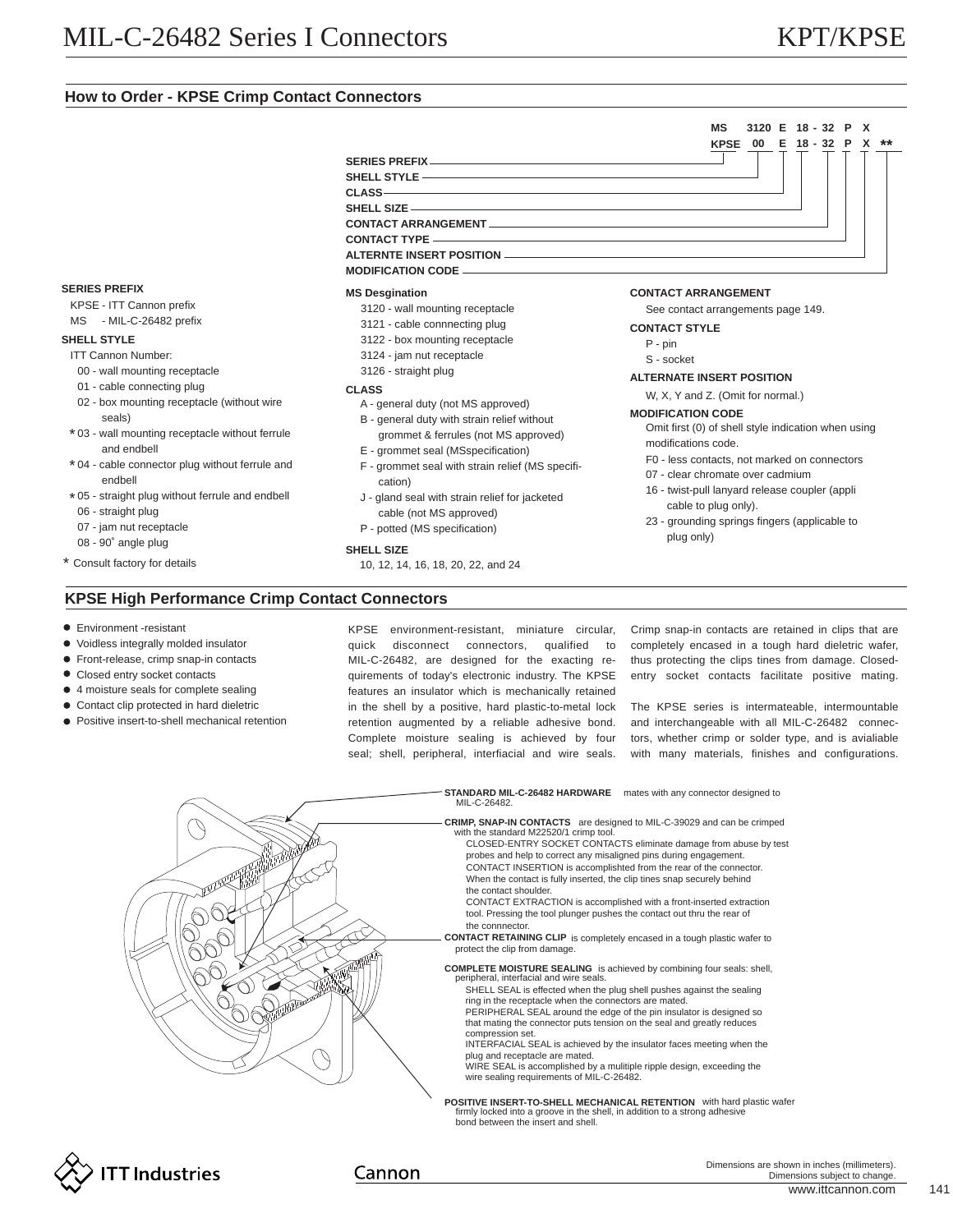# **How to Order - KPSE Crimp Contact Connectors**

# **SERIES PREFIX SHELL STYLE CLASS SHELL SIZE CONTACT ARRANGEMENT CONTACT TYPE ALTERNTE INSERT POSITION MODIFICATION CODE**

## **SERIES PREFIX**

- KPSE ITT Cannon prefix
- MS MIL-C-26482 prefix

# **SHELL STYLE**

- ITT Cannon Number:
- 00 wall mounting receptacle
- 01 cable connecting plug
- 02 box mounting receptacle (without wire
	- seals)
- \* 03 wall mounting receptacle without ferrule and endbell
- \* 04 cable connector plug without ferrule and endbell
- \* 05 straight plug without ferrule and endbell 06 - straight plug
- 07 jam nut receptacle
- 08 90˚ angle plug
- Consult factory for details \*

# **KPSE High Performance Crimp Contact Connectors**

- **•** Environment -resistant
- Voidless integrally molded insulator
- **•** Front-release, crimp snap-in contacts
- Closed entry socket contacts
- 4 moisture seals for complete sealing
- Contact clip protected in hard dieletric
- $\bullet$  Positive insert-to-shell mechanical retention

KPSE environment-resistant, miniature circular, quick disconnect connectors, qualified to MIL-C-26482, are designed for the exacting requirements of today's electronic industry. The KPSE features an insulator which is mechanically retained in the shell by a positive, hard plastic-to-metal lock retention augmented by a reliable adhesive bond. Complete moisture sealing is achieved by four seal; shell, peripheral, interfiacial and wire seals.

Crimp snap-in contacts are retained in clips that are completely encased in a tough hard dieletric wafer, thus protecting the clips tines from damage. Closedentry socket contacts facilitate positive mating.

The KPSE series is intermateable, intermountable and interchangeable with all MIL-C-26482 connectors, whether crimp or solder type, and is avialiable with many materials, finishes and configurations.

```
Dimensions are shown in inches (millimeters).
  Dimensions subject to change.
```
**COMPLETE MOISTURE SEALING** is achieved by combining four seals: shell, peripheral, interfacial and wire seals. SHELL SEAL is effected when the plug shell pushes against the sealing ring in the receptacle when the connectors are mated. PERIPHERAL SEAL around the edge of the pin insulator is designed so that mating the connector puts tension on the seal and greatly reduces compression set. plug and receptacle are mated.

**MS 3120 E 18 - 32 P X**

# **<sup>18</sup> <sup>32</sup> <sup>P</sup> <sup>X</sup> \*\* KPSE <sup>00</sup> <sup>E</sup> -**





# **MS Desgination CONTACT ARRANGEMENT**

See contact arrangements page 149.

- **CONTACT STYLE**
	- P pin

S - socket

## **ALTERNATE INSERT POSITION**

W, X, Y and Z. (Omit for normal.)

#### **MODIFICATION CODE**

Omit first (0) of shell style indication when using modifications code.

- F0 less contacts, not marked on connectors
- 07 clear chromate over cadmium
- 16 twist-pull lanyard release coupler (appli cable to plug only).
- 23 grounding springs fingers (applicable to plug only)

- INTERFACIAL SEAL is achieved by the insulator faces meeting when the
- WIRE SEAL is accomplished by a mulitiple ripple design, exceeding the wire sealing requirements of MIL-C-26482.
- **POSITIVE INSERT-TO-SHELL MECHANICAL RETENTION** with hard plastic wafer firmly locked into a groove in the shell, in addition to a strong adhesive bond between the insert and shell.

Cannon

10, 12, 14, 16, 18, 20, 22, and 24

A - general duty (not MS approved) B - general duty with strain relief without grommet & ferrules (not MS approved) E - grommet seal (MSspecification)

- F grommet seal with strain relief (MS specifi-
- cation)
- cable (not MS approved)

- P potted (MS specification)
- **SHELL SIZE**
- 
- **CLASS**
	-

 - wall mounting receptacle - cable connnecting plug - box mounting receptacle - jam nut receptacle - straight plug

# J - gland seal with strain relief for jacketed

- 
- 
- 
-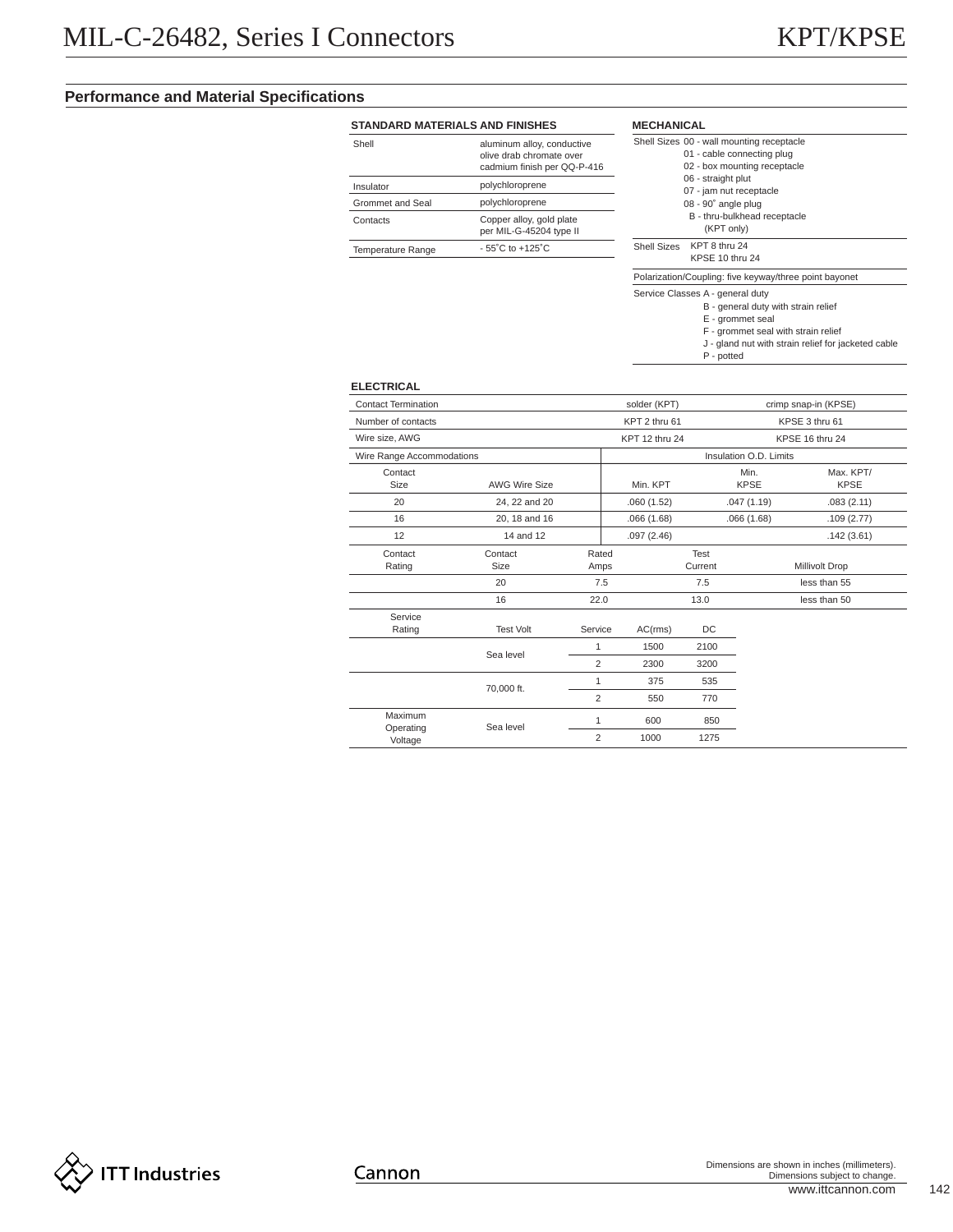# **Performance and Material Specifications**

# **STANDARD MATERIALS AND FINISHES**

| Shell             | aluminum alloy, conductive<br>olive drab chromate over<br>cadmium finish per QQ-P-416 |
|-------------------|---------------------------------------------------------------------------------------|
| Insulator         | polychloroprene                                                                       |
| Grommet and Seal  | polychloroprene                                                                       |
| Contacts          | Copper alloy, gold plate<br>per MIL-G-45204 type II                                   |
| Temperature Range | $-55^{\circ}$ C to $+125^{\circ}$ C                                                   |

| <b>MECHANICAL</b>  |                                                        |
|--------------------|--------------------------------------------------------|
|                    | Shell Sizes 00 - wall mounting receptacle              |
|                    | 01 - cable connecting plug                             |
|                    | 02 - box mounting receptacle                           |
|                    | 06 - straight plut                                     |
|                    | 07 - jam nut receptacle                                |
|                    | 08 - 90° angle plug                                    |
|                    | B - thru-bulkhead receptacle                           |
|                    | (KPT only)                                             |
| <b>Shell Sizes</b> | KPT 8 thru 24                                          |
|                    | KPSE 10 thru 24                                        |
|                    | Polarization/Coupling: five keyway/three point bayonet |
|                    | Service Classes A - general duty                       |

# B - general duty with strain relief

P - potted

E - grommet seal

F - grommet seal with strain relief

J - gland nut with strain relief for jacketed cable

# **ELECTRICAL**

| <b>Contact Termination</b> |                      |                                 | solder (KPT)                      |         |                        | crimp snap-in (KPSE) |  |
|----------------------------|----------------------|---------------------------------|-----------------------------------|---------|------------------------|----------------------|--|
| Number of contacts         |                      | KPT 2 thru 61<br>KPSE 3 thru 61 |                                   |         |                        |                      |  |
| Wire size, AWG             |                      |                                 | KPT 12 thru 24<br>KPSE 16 thru 24 |         |                        |                      |  |
| Wire Range Accommodations  |                      |                                 |                                   |         | Insulation O.D. Limits |                      |  |
| Contact                    |                      |                                 |                                   |         | Min.                   | Max. KPT/            |  |
| <b>Size</b>                | <b>AWG Wire Size</b> |                                 | Min. KPT                          |         | <b>KPSE</b>            | <b>KPSE</b>          |  |
| 20                         | 24, 22 and 20        |                                 | .060(1.52)                        |         | .047(1.19)             | .083(2.11)           |  |
| 16                         | 20, 18 and 16        |                                 | .066(1.68)                        |         | .066(1.68)             | .109(2.77)           |  |
| 12                         | 14 and 12            |                                 | .097(2.46)                        |         |                        | .142(3.61)           |  |
| Contact                    | Contact              | Rated                           |                                   | Test    |                        |                      |  |
| Rating                     | Size                 | Amps                            |                                   | Current |                        | Millivolt Drop       |  |
|                            | 20                   | 7.5                             |                                   | 7.5     |                        | less than 55         |  |
|                            | 16                   | 22.0                            |                                   | 13.0    |                        | less than 50         |  |
| Service                    |                      |                                 |                                   |         |                        |                      |  |
| Rating                     | <b>Test Volt</b>     | Service                         | AC(rms)                           | DC      |                        |                      |  |
|                            |                      | 1                               | 1500                              | 2100    |                        |                      |  |
|                            | Sea level            | $\overline{2}$                  | 2300                              | 3200    |                        |                      |  |
|                            | 70,000 ft.           | 1                               | 375                               | 535     |                        |                      |  |
|                            |                      | $\overline{2}$                  | 550                               | 770     |                        |                      |  |
| Maximum                    |                      | 1                               | 600                               | 850     |                        |                      |  |
| Operating<br>Voltage       | Sea level            | $\overline{2}$                  | 1000                              | 1275    |                        |                      |  |

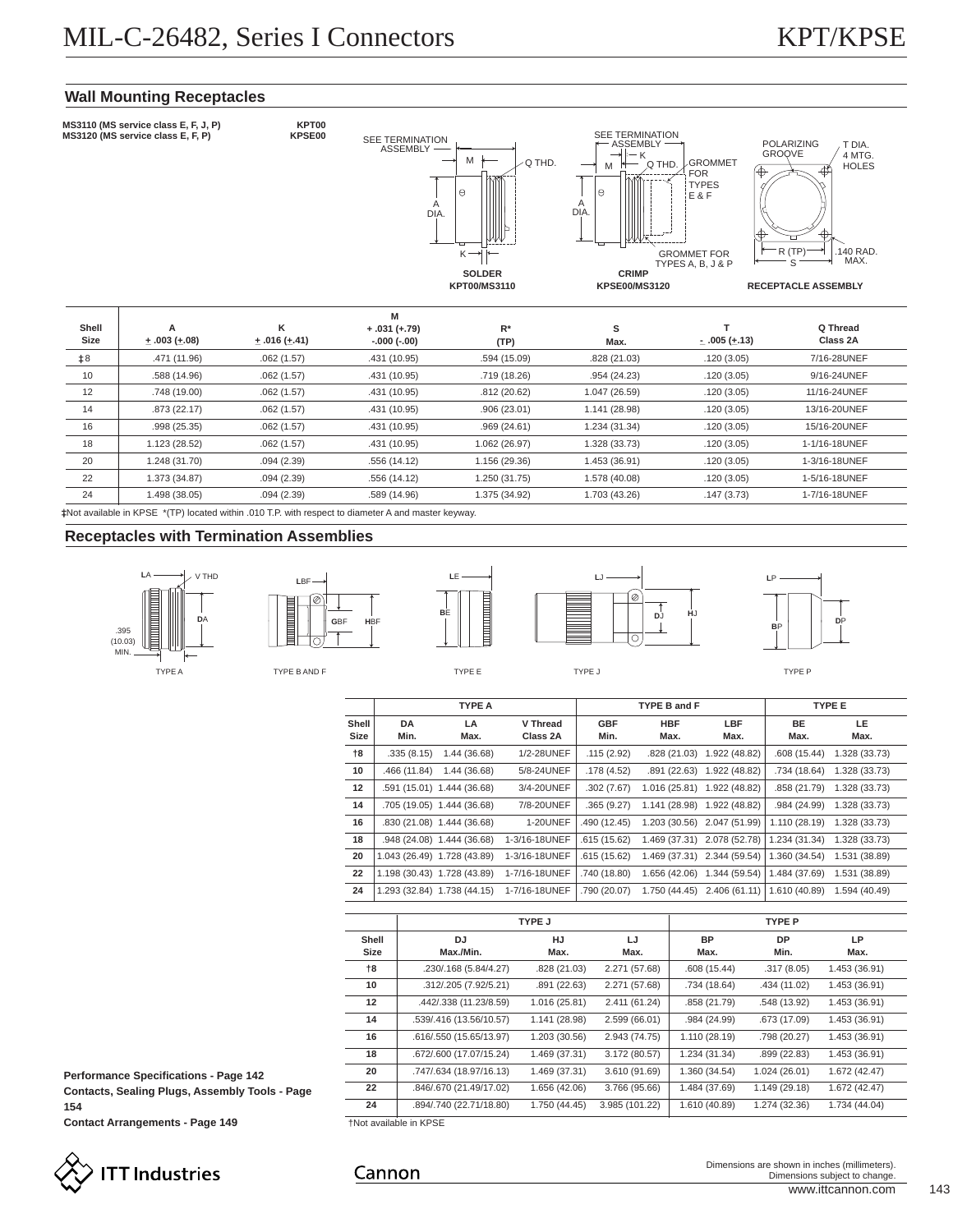# **Wall Mounting Receptacles**



Not available in KPSE \*(TP) located within .010 T.P. with respect to diameter A and master keyway.

# **Receptacles with Termination Assemblies**



Ø

**L**BF







**G**BF **H**BF

|                   |                   | <b>TYPE A</b>               |                      |                    | TYPE B and F                |                             |                   | <b>TYPE E</b> |
|-------------------|-------------------|-----------------------------|----------------------|--------------------|-----------------------------|-----------------------------|-------------------|---------------|
| Shell<br>Size     | <b>DA</b><br>Min. | LA<br>Max.                  | V Thread<br>Class 2A | <b>GBF</b><br>Min. | <b>HBF</b><br>Max.          | LBF<br>Max.                 | <b>BE</b><br>Max. | LE.<br>Max.   |
| †8                | .335(8.15)        | 1.44 (36.68)                | 1/2-28UNEF           | .115(2.92)         |                             | .828 (21.03) 1.922 (48.82)  | .608 (15.44)      | 1.328 (33.73) |
| 10                | .466 (11.84)      | 1.44 (36.68)                | 5/8-24UNEF           | .178(4.52)         |                             | .891 (22.63) 1.922 (48.82)  | .734 (18.64)      | 1.328 (33.73) |
| $12 \overline{ }$ |                   | .591 (15.01) 1.444 (36.68)  | 3/4-20UNEF           | .302(7.67)         | 1.016 (25.81) 1.922 (48.82) |                             | .858 (21.79)      | 1.328 (33.73) |
| 14                |                   | .705 (19.05) 1.444 (36.68)  | 7/8-20UNEF           | .365(9.27)         |                             | 1.141 (28.98) 1.922 (48.82) | .984 (24.99)      | 1.328 (33.73) |
| 16                |                   | .830 (21.08) 1.444 (36.68)  | <b>1-20UNEF</b>      | .490 (12.45)       |                             | 1.203 (30.56) 2.047 (51.99) | 1.110 (28.19)     | 1.328 (33.73) |
| 18                |                   | .948 (24.08) 1.444 (36.68)  | 1-3/16-18UNEF        | .615 (15.62)       |                             | 1.469 (37.31) 2.078 (52.78) | 1.234 (31.34)     | 1.328 (33.73) |
| 20                |                   | 1.043 (26.49) 1.728 (43.89) | 1-3/16-18UNEF        | .615 (15.62)       | 1.469 (37.31) 2.344 (59.54) |                             | 1.360 (34.54)     | 1.531 (38.89) |
| 22                |                   | 1.198 (30.43) 1.728 (43.89) | 1-7/16-18UNEF        | .740 (18.80)       | 1.656 (42.06)               | 1.344 (59.54)               | 1.484 (37.69)     | 1.531 (38.89) |
| 24                |                   | 1.293 (32.84) 1.738 (44.15) | 1-7/16-18UNEF        | .790 (20.07)       | 1.750 (44.45)               | 2.406 (61.11)               | 1.610 (40.89)     | 1.594 (40.49) |

|                   |                         | <b>TYPE J</b> |                |                   | <b>TYPE P</b>     |               |
|-------------------|-------------------------|---------------|----------------|-------------------|-------------------|---------------|
| Shell<br>Size     | DJ.<br>Max./Min.        | HJ<br>Max.    | LJ<br>Max.     | <b>BP</b><br>Max. | <b>DP</b><br>Min. | LP<br>Max.    |
| †8                | .230/.168 (5.84/4.27)   | .828 (21.03)  | 2.271 (57.68)  | .608(15.44)       | .317(8.05)        | 1.453 (36.91) |
| 10                | .312/.205 (7.92/5.21)   | .891(22.63)   | 2.271 (57.68)  | .734 (18.64)      | .434 (11.02)      | 1.453 (36.91) |
| $12 \overline{ }$ | .442/.338 (11.23/8.59)  | 1.016 (25.81) | 2.411 (61.24)  | .858 (21.79)      | .548 (13.92)      | 1.453 (36.91) |
| 14                | .539/.416 (13.56/10.57) | 1.141 (28.98) | 2.599 (66.01)  | .984 (24.99)      | .673 (17.09)      | 1.453 (36.91) |
| 16                | .616/.550 (15.65/13.97) | 1.203 (30.56) | 2.943 (74.75)  | 1.110 (28.19)     | .798 (20.27)      | 1.453 (36.91) |
| 18                | .672/.600 (17.07/15.24) | 1.469 (37.31) | 3.172 (80.57)  | 1.234 (31.34)     | .899 (22.83)      | 1.453 (36.91) |
| 20                | .747/.634 (18.97/16.13) | 1.469 (37.31) | 3.610 (91.69)  | 1.360 (34.54)     | 1.024 (26.01)     | 1.672 (42.47) |
| 22                | .846/.670 (21.49/17.02) | 1.656 (42.06) | 3.766 (95.66)  | 1.484 (37.69)     | 1.149 (29.18)     | 1.672 (42.47) |
| 24                | .894/.740 (22.71/18.80) | 1.750 (44.45) | 3.985 (101.22) | 1.610 (40.89)     | 1.274 (32.36)     | 1.734 (44.04) |

**Performance Specifications - Page 142 Contacts, Sealing Plugs, Assembly Tools - Page**

**154**

**Contact Arrangements - Page 149**



†Not available in KPSE

# Cannon

Dimensions are shown in inches (millimeters). Dimensions subject to change.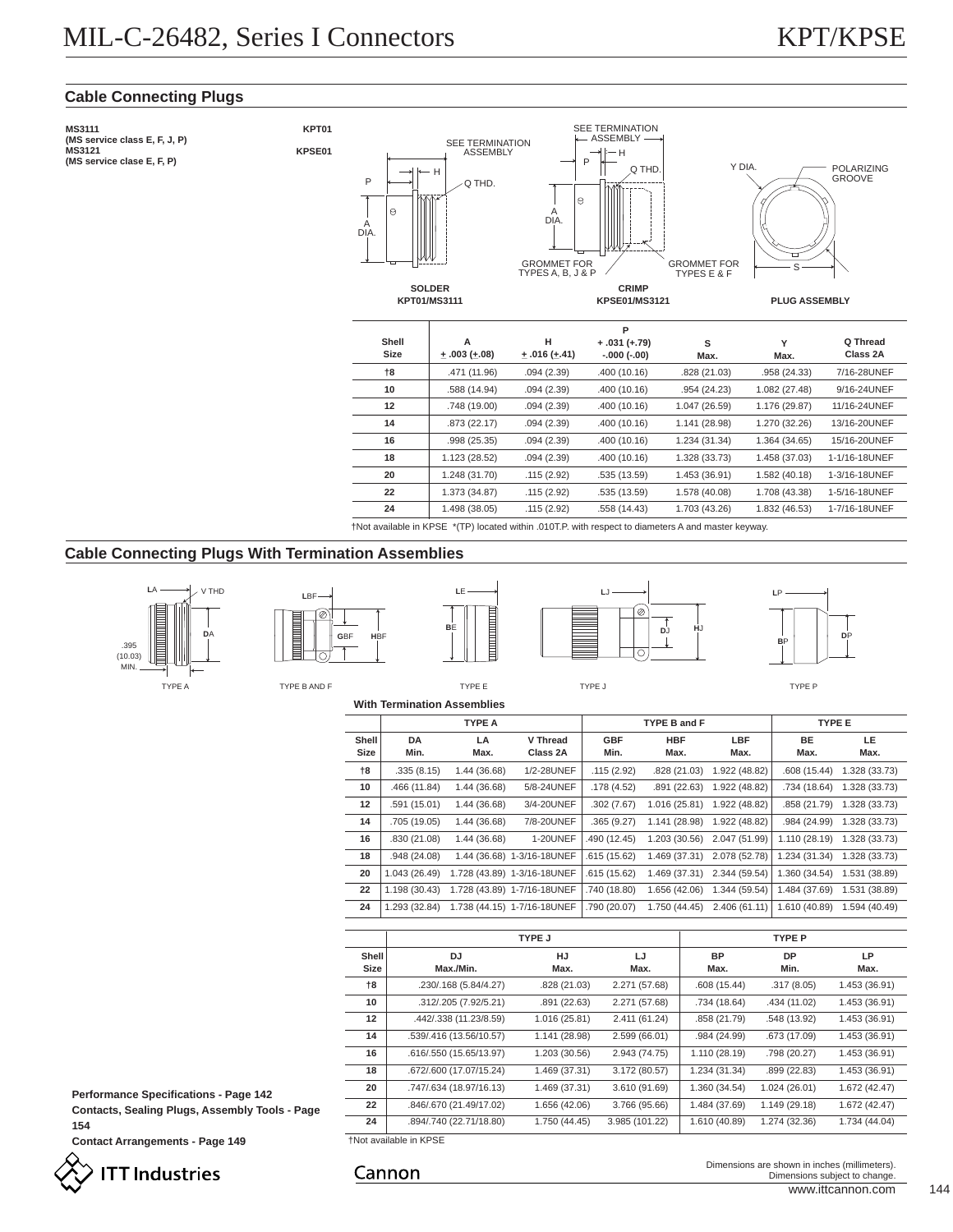**Q Thread Class 2A**

# **Cable Connecting Plugs**

**MS3111** SEE TERMINATION **KPT01 (MS service class E, F, J, P)** ASSEMBLY SEE TERMINATION ASSEMBLY **MS3121 KPSE01**H **(MS service clase E, F, P)** P Q THD. Y DIA. POLARIZING<br>GROOVE H P Q THD.  $\Theta$  $\alpha$ A DIA. A DIA. GROMMET FOR<br>TYPES E & F GROMMET FOR TYPES A, B, <sup>J</sup> & <sup>P</sup> GROMMET FOR S **SOLDER CRIMP**<br>**KPSE01/MS3121 KPT01/MS3111 KPSE01/MS3121 PLUG ASSEMBLY P Shell H A + .031 (+.79) S Y +\_ .016 (+\_.41) Size +\_ .003 (+\_.08) -.000 (-.00) Max. Max.**

| †8 | .471 (11.96)  | .094(2.39) | .400(10.16)  | .828 (21.03)  | .958 (24.33)  | 7/16-28UNEF   |
|----|---------------|------------|--------------|---------------|---------------|---------------|
| 10 | .588 (14.94)  | .094(2.39) | .400(10.16)  | .954 (24.23)  | 1.082 (27.48) | 9/16-24UNEF   |
| 12 | .748 (19.00)  | .094(2.39) | .400(10.16)  | 1.047 (26.59) | 1.176 (29.87) | 11/16-24UNEF  |
| 14 | .873(22.17)   | .094(2.39) | .400(10.16)  | 1.141 (28.98) | 1.270 (32.26) | 13/16-20UNEF  |
| 16 | .998(25.35)   | .094(2.39) | .400(10.16)  | 1.234 (31.34) | 1.364 (34.65) | 15/16-20UNEF  |
| 18 | 1.123 (28.52) | .094(2.39) | .400(10.16)  | 1.328 (33.73) | 1.458 (37.03) | 1-1/16-18UNEF |
| 20 | 1.248 (31.70) | .115(2.92) | .535 (13.59) | 1.453 (36.91) | 1.582 (40.18) | 1-3/16-18UNEF |
| 22 | 1.373 (34.87) | .115(2.92) | .535 (13.59) | 1.578 (40.08) | 1.708 (43.38) | 1-5/16-18UNEF |
| 24 | 1.498 (38.05) | .115(2.92) | .558 (14.43) | 1.703 (43.26) | 1.832 (46.53) | 1-7/16-18UNEF |
|    |               |            |              |               |               |               |

†Not available in KPSE \*(TP) located within .010T.P. with respect to diameters A and master keyway.

# **Cable Connecting Plugs With Termination Assemblies**



TYPE A TYPE B AND F TYPE E TYPE E TYPE TYPE A TYPE TYPE A TYPE TYPE A TYPE A TYPE A TYPE P

**L**BF

⊚

**G**BF **H**BF







**With Termination Assemblies**

**Shell Size DA Min. LA Max. V Thread Class 2A GBF Min. HBF Max. LBF Max. BE Max. LE Max. TYPE A TYPE B and F TYPE E †8 10 12 14 16 18 20 22 24** .335 (8.15) .466 (11.84) .591 (15.01) .705 (19.05) .830 (21.08) .948 (24.08) 1.043 (26.49) 1.198 (30.43) 1.293 (32.84) 1.44 (36.68) 1.44 (36.68) 1.44 (36.68) 1.44 (36.68) 1.44 (36.68) 1.44 (36.68) 1-3/16-18UNEF 1.728 (43.89) 1-3/16-18UNEF 1.728 (43.89) 1-7/16-18UNEF 1.738 (44.15) 1-7/16-18UNEF 1/2-28UNEF 5/8-24UNEF 3/4-20UNEF 7/8-20UNEF 1-20UNEF .115 (2.92) .178 (4.52) .302 (7.67) .365 (9.27) .490 (12.45) .615 (15.62) .615 (15.62) .740 (18.80) .790 (20.07) .828 (21.03) .891 (22.63) 1.016 (25.81) 1.141 (28.98) 1.203 (30.56) 1.469 (37.31) 1.469 (37.31) 1.656 (42.06) 1.750 (44.45) 1.922 (48.82) 1.922 (48.82) 1.922 (48.82) 1.922 (48.82) 2.047 (51.99) 2.078 (52.78) 2.344 (59.54) 1.344 (59.54) 2.406 (61.11) .608 (15.44) .734 (18.64) .858 (21.79) .984 (24.99) 1.110 (28.19) 1.234 (31.34) 1.360 (34.54) 1.484 (37.69) 1.610 (40.89) 1.328 (33.73) 1.328 (33.73) 1.328 (33.73) 1.328 (33.73) 1.328 (33.73) 1.328 (33.73) 1.531 (38.89) 1.531 (38.89) 1.594 (40.49)

|                      |                         | TYPE J        |                |                   | <b>TYPE P</b>     |               |
|----------------------|-------------------------|---------------|----------------|-------------------|-------------------|---------------|
| <b>Shell</b><br>Size | DJ<br>Max./Min.         | HJ<br>Max.    | LJ<br>Max.     | <b>BP</b><br>Max. | <b>DP</b><br>Min. | LP<br>Max.    |
| 18                   | .230/.168 (5.84/4.27)   | .828 (21.03)  | 2.271 (57.68)  | .608(15.44)       | .317(8.05)        | 1.453 (36.91) |
| 10                   | .312/.205 (7.92/5.21)   | .891(22.63)   | 2.271 (57.68)  | .734 (18.64)      | .434 (11.02)      | 1.453 (36.91) |
| $12 \overline{ }$    | .442/.338 (11.23/8.59)  | 1.016(25.81)  | 2.411 (61.24)  | .858 (21.79)      | .548 (13.92)      | 1.453 (36.91) |
| 14                   | .539/.416 (13.56/10.57) | 1.141 (28.98) | 2.599 (66.01)  | .984 (24.99)      | .673 (17.09)      | 1.453 (36.91) |
| 16                   | .616/.550 (15.65/13.97) | 1.203 (30.56) | 2.943 (74.75)  | 1.110 (28.19)     | .798 (20.27)      | 1.453 (36.91) |
| 18                   | .672/.600 (17.07/15.24) | 1.469 (37.31) | 3.172 (80.57)  | 1.234 (31.34)     | .899 (22.83)      | 1.453 (36.91) |
| 20                   | .747/.634 (18.97/16.13) | 1.469 (37.31) | 3.610 (91.69)  | 1.360 (34.54)     | 1.024(26.01)      | 1.672 (42.47) |
| 22                   | .846/.670 (21.49/17.02) | 1.656 (42.06) | 3.766 (95.66)  | 1.484 (37.69)     | 1.149 (29.18)     | 1.672 (42.47) |
| 24                   | .894/.740 (22.71/18.80) | 1.750 (44.45) | 3.985 (101.22) | 1.610 (40.89)     | 1.274 (32.36)     | 1.734 (44.04) |

**Performance Specifications - Page 142 Contacts, Sealing Plugs, Assembly Tools - Page**

**154**

**Contact Arrangements - Page 149**



†Not available in KPSE

# Cannon

Dimensions are shown in inches (millimeters). Dimensions subject to change.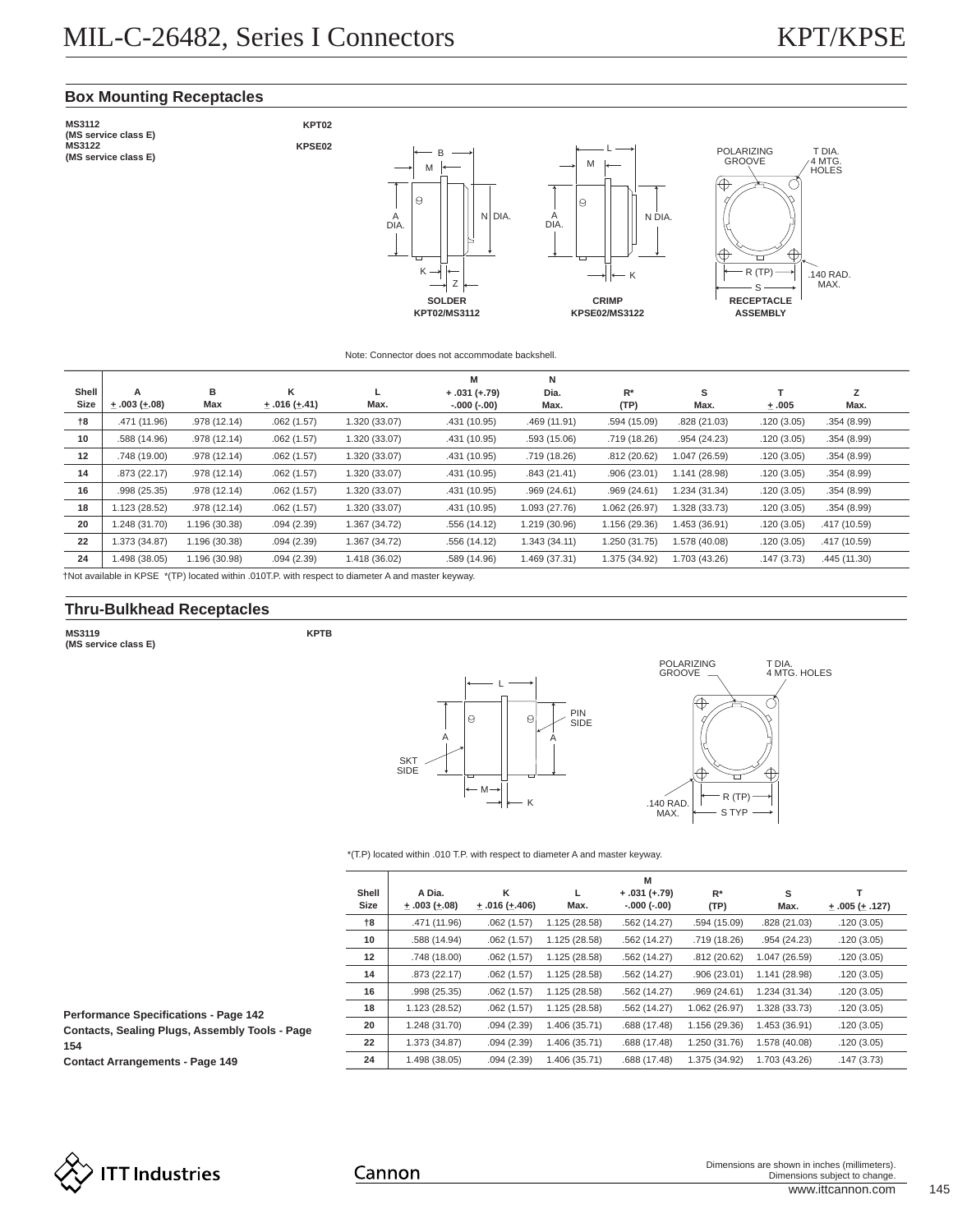# **Box Mounting Receptacles**



#### Note: Connector does not accommodate backshell.

|                   |               |               |                      |               | M              | Ν             |               |               |            |              |
|-------------------|---------------|---------------|----------------------|---------------|----------------|---------------|---------------|---------------|------------|--------------|
| Shell             | A             | в             | κ                    |               | $+.031 (+.79)$ | Dia.          | $R^*$         | s             |            | z            |
| Size              | $+.003(+.08)$ | Max           | $\pm .016 (\pm .41)$ | Max.          | $-.000(-.00)$  | Max.          | (TP)          | Max.          | ±.005      | Max.         |
| 18                | .471 (11.96)  | .978 (12.14)  | .062(1.57)           | 1.320 (33.07) | .431 (10.95)   | .469 (11.91)  | .594 (15.09)  | .828 (21.03)  | .120(3.05) | .354(8.99)   |
| 10                | .588 (14.96)  | .978 (12.14)  | .062(1.57)           | 1.320 (33.07) | .431 (10.95)   | .593 (15.06)  | .719 (18.26)  | .954(24.23)   | .120(3.05) | .354(8.99)   |
| $12 \overline{ }$ | .748 (19.00)  | .978 (12.14)  | .062(1.57)           | 1.320 (33.07) | .431 (10.95)   | .719 (18.26)  | .812(20.62)   | 1.047 (26.59) | .120(3.05) | .354(8.99)   |
| 14                | .873 (22.17)  | .978 (12.14)  | .062(1.57)           | 1.320 (33.07) | .431 (10.95)   | .843(21.41)   | .906(23.01)   | 1.141 (28.98) | .120(3.05) | .354(8.99)   |
| 16                | .998(25.35)   | .978 (12.14)  | .062(1.57)           | 1.320 (33.07) | .431 (10.95)   | .969(24.61)   | .969(24.61)   | 1.234 (31.34) | .120(3.05) | .354(8.99)   |
| 18                | 1.123 (28.52) | .978 (12.14)  | .062(1.57)           | 1.320 (33.07) | .431 (10.95)   | 1.093 (27.76) | 1.062 (26.97) | 1.328 (33.73) | .120(3.05) | .354(8.99)   |
| 20                | 1.248 (31.70) | 1.196 (30.38) | .094(2.39)           | 1.367 (34.72) | .556 (14.12)   | 1.219 (30.96) | 1.156 (29.36) | 1.453 (36.91) | .120(3.05) | .417 (10.59) |
| 22                | 1.373 (34.87) | 1.196 (30.38) | .094(2.39)           | 1.367 (34.72) | .556 (14.12)   | 1.343(34.11)  | 1.250 (31.75) | 1.578 (40.08) | .120(3.05) | .417 (10.59) |
| 24                | 1.498 (38.05) | 1.196 (30.98) | .094(2.39)           | 1.418 (36.02) | .589 (14.96)   | 1.469 (37.31) | 1.375 (34.92) | 1.703 (43.26) | .147(3.73) | .445 (11.30) |

†Not available in KPSE \*(TP) located within .010T.P. with respect to diameter A and master keyway.

# **Thru-Bulkhead Receptacles**

**MS3119 (MS service class E)**





#### \*(T.P) located within .010 T.P. with respect to diameter A and master keyway.

| Shell<br>Size | A Dia.<br>$\pm .003 \ (\pm .08)$ | κ<br>$\pm .016 \ (\pm .406)$ | Max.          | M<br>$+.031 (+.79)$<br>$-.000(-.00)$ | $R^*$<br>(TP) | s<br>Max.     | $\pm .005 (\pm .127)$ |
|---------------|----------------------------------|------------------------------|---------------|--------------------------------------|---------------|---------------|-----------------------|
| $^{+8}$       | .471 (11.96)                     | .062(1.57)                   | 1.125 (28.58) | .562(14.27)                          | .594 (15.09)  | .828 (21.03)  | .120(3.05)            |
| 10            | .588 (14.94)                     | .062(1.57)                   | 1.125 (28.58) | .562(14.27)                          | .719 (18.26)  | .954(24.23)   | .120(3.05)            |
| 12            | .748 (18.00)                     | .062(1.57)                   | 1.125 (28.58) | .562(14.27)                          | .812(20.62)   | 1.047 (26.59) | .120(3.05)            |
| 14            | .873(22.17)                      | .062(1.57)                   | 1.125 (28.58) | .562(14.27)                          | .906(23.01)   | 1.141 (28.98) | .120(3.05)            |
| 16            | .998 (25.35)                     | .062(1.57)                   | 1.125 (28.58) | .562(14.27)                          | .969(24.61)   | 1.234 (31.34) | .120(3.05)            |
| 18            | 1.123 (28.52)                    | .062(1.57)                   | 1.125 (28.58) | .562(14.27)                          | 1.062 (26.97) | 1.328 (33.73) | .120(3.05)            |
| 20            | 1.248 (31.70)                    | .094(2.39)                   | 1.406 (35.71) | .688 (17.48)                         | 1.156 (29.36) | 1.453 (36.91) | .120(3.05)            |
| 22            | 1.373 (34.87)                    | .094(2.39)                   | 1.406 (35.71) | .688 (17.48)                         | 1.250 (31.76) | 1.578 (40.08) | .120(3.05)            |
| 24            | 1.498 (38.05)                    | .094(2.39)                   | 1.406 (35.71) | .688 (17.48)                         | 1.375 (34.92) | 1.703 (43.26) | .147(3.73)            |

**Performance Specifications - Page 142 Contacts, Sealing Plugs, Assembly Tools - Page 154**

**Contact Arrangements - Page 149**

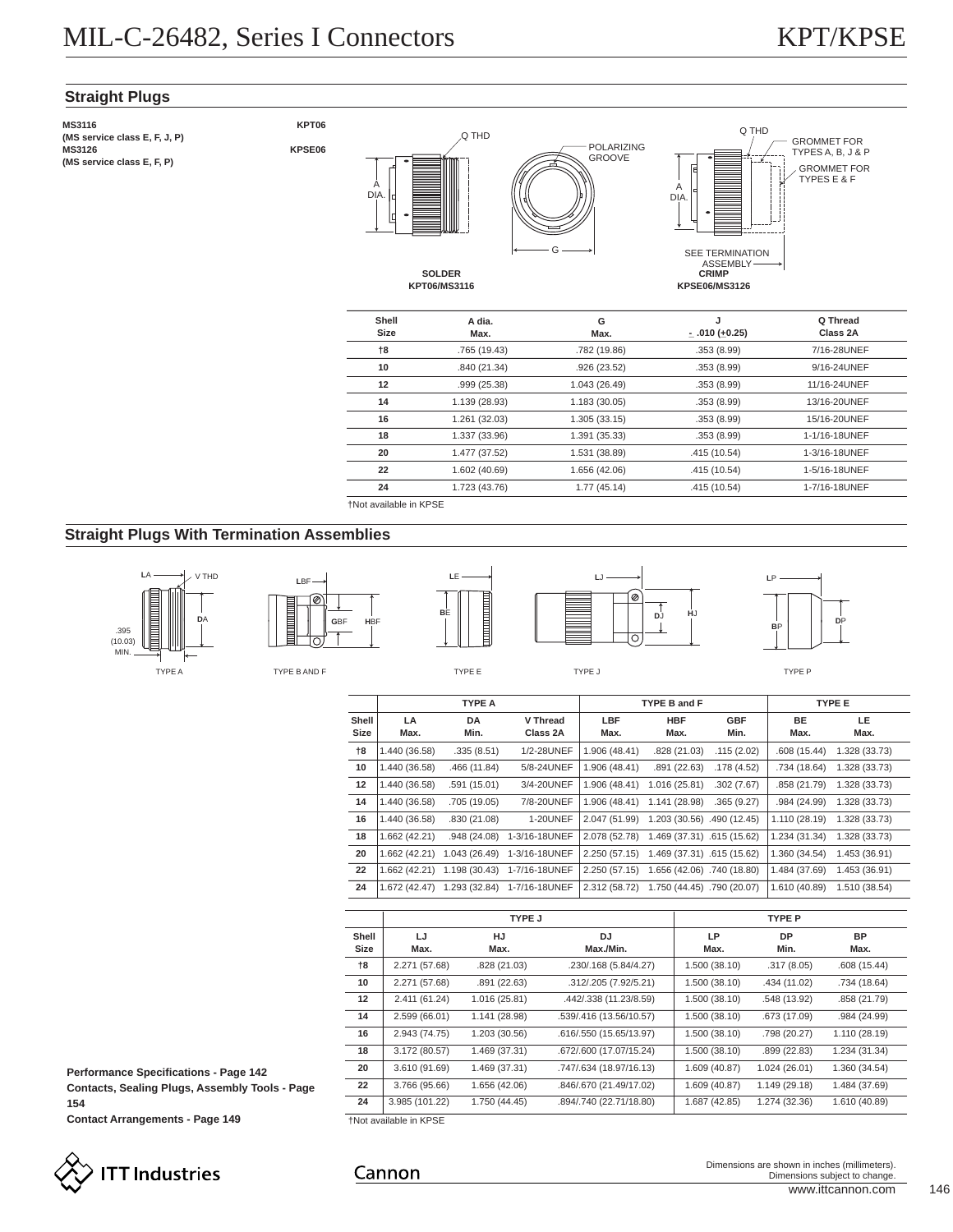# **Straight Plugs**

| <b>MS3116</b>                 |
|-------------------------------|
| (MS service class E, F, J, P) |
| <b>MS3126</b>                 |
| (MS service class E, F, P)    |









**SOLDER KPT06/MS3116**

| Shell<br>Size  | A dia.<br>Max. | G<br>Max.     | J<br>$-$ .010 ( $+0.25$ ) | Q Thread<br>Class 2A |
|----------------|----------------|---------------|---------------------------|----------------------|
| $^{\dagger 8}$ | .765 (19.43)   | .782 (19.86)  | .353(8.99)                | 7/16-28UNEF          |
| 10             | .840 (21.34)   | .926(23.52)   | .353(8.99)                | 9/16-24UNEF          |
| 12             | .999 (25.38)   | 1.043 (26.49) | .353(8.99)                | 11/16-24UNEF         |
| 14             | 1.139 (28.93)  | 1.183(30.05)  | .353(8.99)                | 13/16-20UNEF         |
| 16             | 1.261 (32.03)  | 1.305(33.15)  | .353(8.99)                | 15/16-20UNEF         |
| 18             | 1.337 (33.96)  | 1.391 (35.33) | .353(8.99)                | 1-1/16-18UNEF        |
| 20             | 1.477 (37.52)  | 1.531 (38.89) | .415 (10.54)              | 1-3/16-18UNEF        |
| 22             | 1.602 (40.69)  | 1.656 (42.06) | .415 (10.54)              | 1-5/16-18UNEF        |
| 24             | 1.723 (43.76)  | 1.77(45.14)   | .415 (10.54)              | 1-7/16-18UNEF        |

†Not available in KPSE

Cannon

# **Straight Plugs With Termination Assemblies**



**G**BF **H**BF

**L**BF

Ø







|               |               | <b>TYPE A</b>     |                      |               | TYPE B and F               |                    |               | <b>TYPE E</b> |
|---------------|---------------|-------------------|----------------------|---------------|----------------------------|--------------------|---------------|---------------|
| Shell<br>Size | LA<br>Max.    | <b>DA</b><br>Min. | V Thread<br>Class 2A | LBF<br>Max.   | <b>HBF</b><br>Max.         | <b>GBF</b><br>Min. | BE<br>Max.    | LE.<br>Max.   |
| 18            | 1.440 (36.58) | .335(8.51)        | 1/2-28UNEF           | 1.906 (48.41) | .828 (21.03)               | .115(2.02)         | .608 (15.44)  | 1.328 (33.73) |
| 10            | 1.440 (36.58) | .466 (11.84)      | 5/8-24UNEF           | 1.906 (48.41) | .891 (22.63)               | .178(4.52)         | .734 (18.64)  | 1.328 (33.73) |
| 12            | 1.440 (36.58) | .591 (15.01)      | 3/4-20UNEF           | 1.906 (48.41) | 1.016 (25.81)              | .302(7.67)         | .858 (21.79)  | 1.328 (33.73) |
| 14            | 1.440 (36.58) | .705 (19.05)      | 7/8-20UNEF           | 1.906 (48.41) | 1.141 (28.98)              | .365(9.27)         | .984 (24.99)  | 1.328 (33.73) |
| 16            | 1.440 (36.58) | .830 (21.08)      | <b>1-20UNEF</b>      | 2.047 (51.99) | 1.203 (30.56) .490 (12.45) |                    | 1.110 (28.19) | 1.328 (33.73) |
| 18            | 1.662 (42.21) | .948 (24.08)      | 1-3/16-18UNEF        | 2.078 (52.78) | 1.469 (37.31) .615 (15.62) |                    | 1.234 (31.34) | 1.328 (33.73) |
| 20            | 1.662 (42.21) | 1.043 (26.49)     | 1-3/16-18UNEF        | 2.250(57.15)  | 1.469 (37.31) .615 (15.62) |                    | 1.360 (34.54) | 1.453 (36.91) |
| 22            | 1.662 (42.21) | 1.198 (30.43)     | 1-7/16-18UNEF        | 2.250 (57.15) | 1.656 (42.06) .740 (18.80) |                    | 1.484 (37.69) | 1.453 (36.91) |
| 24            | 1.672 (42.47) | 1.293 (32.84)     | 1-7/16-18UNEF        | 2.312 (58.72) | 1.750 (44.45) .790 (20.07) |                    | 1.610 (40.89) | 1.510 (38.54) |

|                      |                               | TYPE J            |                         |               | <b>TYPE P</b>     |                   |
|----------------------|-------------------------------|-------------------|-------------------------|---------------|-------------------|-------------------|
| Shell<br><b>Size</b> | LJ<br>Max.                    | <b>HJ</b><br>Max. | DJ.<br>Max./Min.        | LP<br>Max.    | <b>DP</b><br>Min. | <b>BP</b><br>Max. |
| $+8$                 | 2.271 (57.68)                 | .828 (21.03)      | .230/.168 (5.84/4.27)   | 1.500 (38.10) | .317(8.05)        | .608(15.44)       |
| 10                   | 2.271 (57.68)                 | .891 (22.63)      | .312/.205 (7.92/5.21)   | 1.500 (38.10) | .434 (11.02)      | .734 (18.64)      |
| $12 \,$              | 2.411 (61.24)                 | 1.016 (25.81)     | .442/.338 (11.23/8.59)  | 1.500(38.10)  | .548 (13.92)      | .858 (21.79)      |
| 14                   | 2.599 (66.01)                 | 1.141 (28.98)     | .539/.416 (13.56/10.57) | 1.500 (38.10) | .673 (17.09)      | .984 (24.99)      |
| 16                   | 2.943 (74.75)                 | 1.203 (30.56)     | .616/.550 (15.65/13.97) | 1.500 (38.10) | .798 (20.27)      | 1.110 (28.19)     |
| 18                   | 3.172 (80.57)                 | 1.469 (37.31)     | .672/.600 (17.07/15.24) | 1.500(38.10)  | .899 (22.83)      | 1.234 (31.34)     |
| 20                   | 3.610 (91.69)                 | 1.469 (37.31)     | .747/.634 (18.97/16.13) | 1.609 (40.87) | 1.024 (26.01)     | 1.360 (34.54)     |
| 22                   | 3.766 (95.66)                 | 1.656 (42.06)     | .846/.670 (21.49/17.02) | 1.609 (40.87) | 1.149 (29.18)     | 1.484 (37.69)     |
| 24                   | 3.985 (101.22)                | 1.750 (44.45)     | .894/.740 (22.71/18.80) | 1.687 (42.85) | 1.274 (32.36)     | 1.610 (40.89)     |
|                      | <b>+Not available in KPSE</b> |                   |                         |               |                   |                   |

**Performance Specifications - Page 142 Contacts, Sealing Plugs, Assembly Tools - Page 154**

**Contact Arrangements - Page 149**



www.ittcannon.com 146 Dimensions are shown in inches (millimeters). Dimensions subject to change.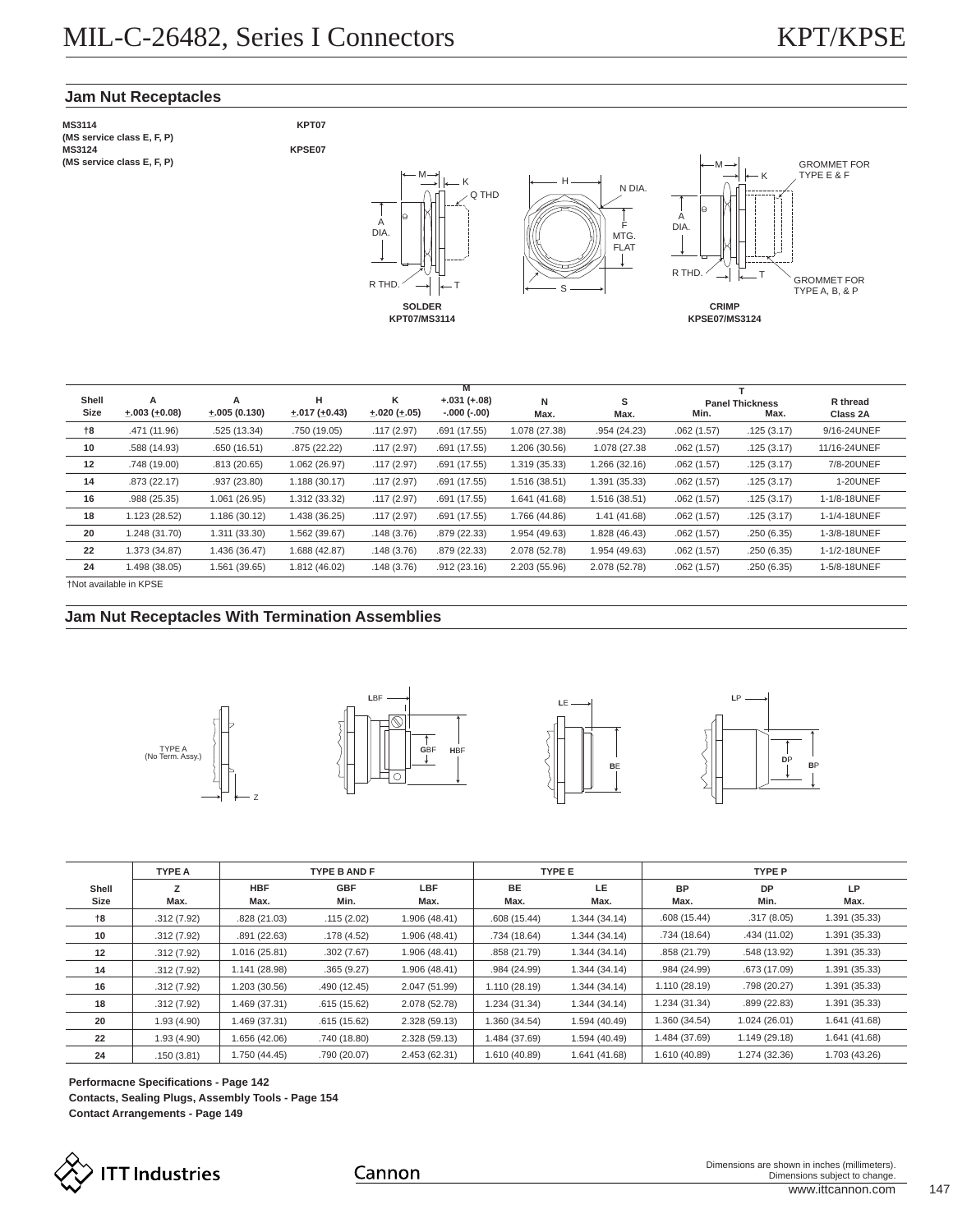# **Jam Nut Receptacles**

**MS3114 (MS service class E, F, P) MS3124 (MS service class E, F, P)**





|       | M                       |                |                         |                        |               |               |               |            |                        |                 |
|-------|-------------------------|----------------|-------------------------|------------------------|---------------|---------------|---------------|------------|------------------------|-----------------|
| Shell | A                       | A              | н                       | κ                      | $+.031(+.08)$ | N             | s             |            | <b>Panel Thickness</b> | R thread        |
| Size  | $\pm .003 \ (\pm 0.08)$ | $+.005(0.130)$ | $\pm .017 \ (\pm 0.43)$ | $\pm .020 \ (\pm .05)$ | $-.000(-.00)$ | Max.          | Max.          | Min.       | Max.                   | Class 2A        |
| †8    | .471 (11.96)            | .525 (13.34)   | .750 (19.05)            | .117(2.97)             | .691 (17.55)  | 1.078 (27.38) | .954 (24.23)  | .062(1.57) | .125(3.17)             | 9/16-24UNEF     |
| 10    | .588 (14.93)            | .650(16.51)    | .875(22.22)             | .117(2.97)             | .691 (17.55)  | 1.206 (30.56) | 1.078 (27.38) | .062(1.57) | .125(3.17)             | 11/16-24UNEF    |
| 12    | .748 (19.00)            | .813(20.65)    | 1.062 (26.97)           | .117(2.97)             | .691 (17.55)  | 1.319 (35.33) | 1.266 (32.16) | .062(1.57) | .125(3.17)             | 7/8-20UNEF      |
| 14    | .873 (22.17)            | .937(23.80)    | 1.188(30.17)            | .117(2.97)             | .691 (17.55)  | 1.516 (38.51) | 1.391 (35.33) | .062(1.57) | .125(3.17)             | <b>1-20UNEF</b> |
| 16    | .988 (25.35)            | 1.061 (26.95)  | 1.312 (33.32)           | .117(2.97)             | .691 (17.55)  | 1.641 (41.68) | 1.516 (38.51) | .062(1.57) | .125(3.17)             | 1-1/8-18UNEF    |
| 18    | 1.123 (28.52)           | 1.186 (30.12)  | 1.438 (36.25)           | .117(2.97)             | .691 (17.55)  | 1.766 (44.86) | 1.41 (41.68)  | .062(1.57) | .125(3.17)             | 1-1/4-18UNEF    |
| 20    | 1.248 (31.70)           | 1.311 (33.30)  | 1.562 (39.67)           | .148(3.76)             | .879 (22.33)  | 1.954 (49.63) | 1.828 (46.43) | .062(1.57) | .250(6.35)             | 1-3/8-18UNEF    |
| 22    | 1.373 (34.87)           | 1.436 (36.47)  | 1.688 (42.87)           | .148(3.76)             | .879 (22.33)  | 2.078 (52.78) | 1.954 (49.63) | .062(1.57) | .250(6.35)             | 1-1/2-18UNEF    |
| 24    | 1.498 (38.05)           | 1.561 (39.65)  | 1.812 (46.02)           | .148(3.76)             | .912(23.16)   | 2.203 (55.96) | 2.078 (52.78) | .062(1.57) | .250(6.35)             | 1-5/8-18UNEF    |

†Not available in KPSE

# **Jam Nut Receptacles With Termination Assemblies**

Z









|               | <b>TYPE A</b> | <b>TYPE B AND F</b> |                    |               | <b>TYPE E</b>     |               | <b>TYPE P</b>     |                   |               |
|---------------|---------------|---------------------|--------------------|---------------|-------------------|---------------|-------------------|-------------------|---------------|
| Shell<br>Size | Max.          | <b>HBF</b><br>Max.  | <b>GBF</b><br>Min. | LBF<br>Max.   | <b>BE</b><br>Max. | LE.<br>Max.   | <b>BP</b><br>Max. | <b>DP</b><br>Min. | LP<br>Max.    |
| 18            | .312(7.92)    | .828(21.03)         | .115(2.02)         | 1.906 (48.41) | .608(15.44)       | 1.344 (34.14) | .608(15.44)       | .317(8.05)        | 1.391 (35.33) |
| 10            | .312(7.92)    | .891(22.63)         | .178(4.52)         | 1.906 (48.41) | .734 (18.64)      | 1.344 (34.14) | .734 (18.64)      | .434 (11.02)      | 1.391 (35.33) |
| 12            | .312(7.92)    | 1.016 (25.81)       | .302(7.67)         | 1.906 (48.41) | .858 (21.79)      | 1.344 (34.14) | .858 (21.79)      | .548 (13.92)      | 1.391 (35.33) |
| 14            | .312(7.92)    | 1.141 (28.98)       | .365(9.27)         | 1.906 (48.41) | .984 (24.99)      | 1.344 (34.14) | .984 (24.99)      | .673 (17.09)      | 1.391 (35.33) |
| 16            | .312(7.92)    | 1.203 (30.56)       | .490 (12.45)       | 2.047 (51.99) | 1.110 (28.19)     | 1.344 (34.14) | 1.110 (28.19)     | .798 (20.27)      | 1.391 (35.33) |
| 18            | .312(7.92)    | 1.469 (37.31)       | .615(15.62)        | 2.078 (52.78) | 1.234 (31.34)     | 1.344 (34.14) | 1.234 (31.34)     | .899(22.83)       | 1.391 (35.33) |
| 20            | 1.93(4.90)    | 1.469 (37.31)       | .615(15.62)        | 2.328 (59.13) | 1.360 (34.54)     | 1.594 (40.49) | 1.360 (34.54)     | 1.024 (26.01)     | 1.641 (41.68) |
| 22            | 1.93(4.90)    | 1.656 (42.06)       | .740 (18.80)       | 2.328 (59.13) | 1.484 (37.69)     | 1.594 (40.49) | 1.484 (37.69)     | 1.149 (29.18)     | 1.641 (41.68) |
| 24            | .150(3.81)    | 1.750 (44.45)       | .790 (20.07)       | 2.453 (62.31) | 1.610 (40.89)     | 1.641 (41.68) | 1.610 (40.89)     | 1.274 (32.36)     | 1.703 (43.26) |

**Performacne Specifications - Page 142 Contacts, Sealing Plugs, Assembly Tools - Page 154 Contact Arrangements - Page 149**



Cannon

www.ittcannon.com 147 Dimensions are shown in inches (millimeters). Dimensions subject to change.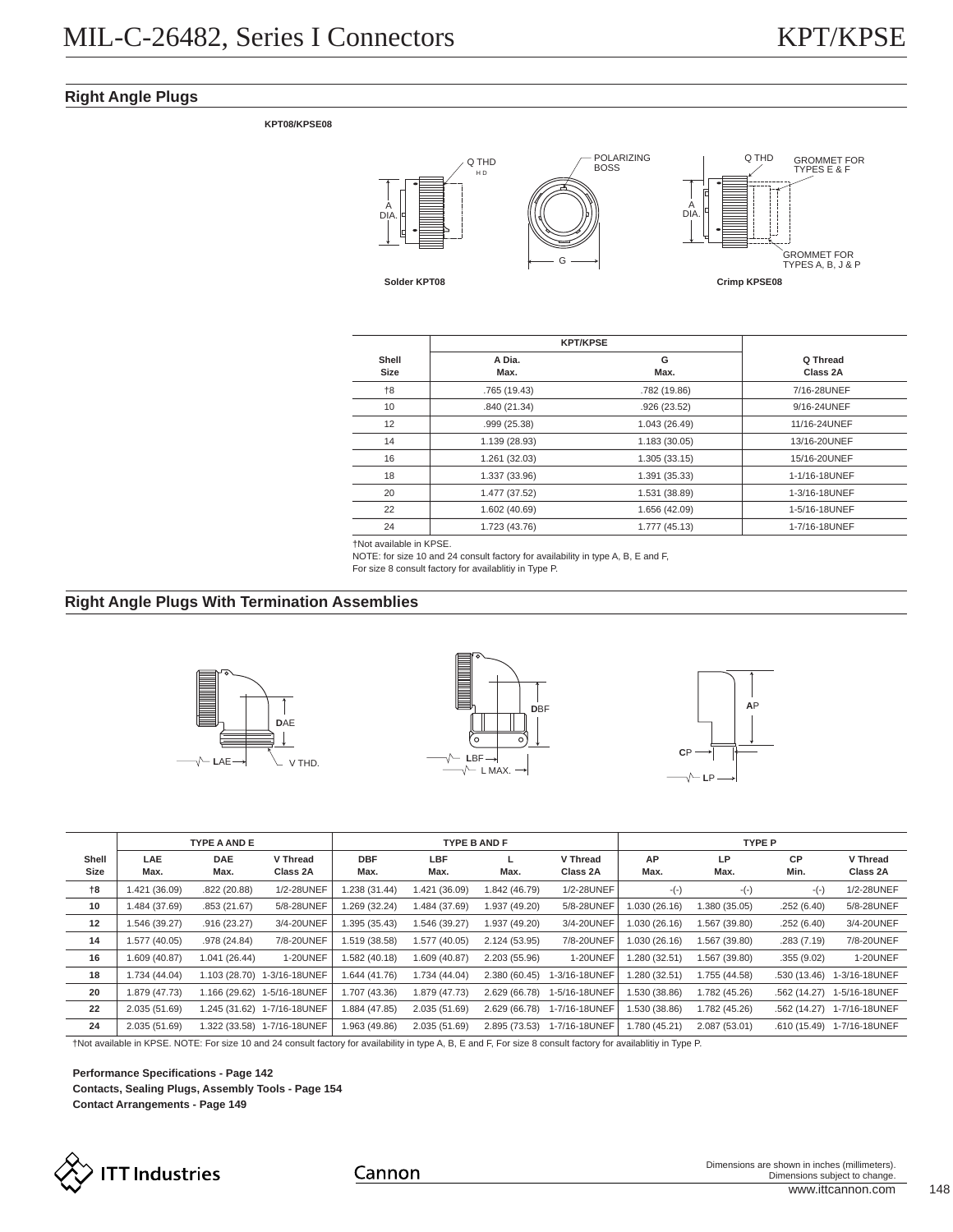# **Right Angle Plugs**

**KPT08/KPSE08**



|               |                | <b>KPT/KPSE</b> |                      |  |  |  |  |
|---------------|----------------|-----------------|----------------------|--|--|--|--|
| Shell<br>Size | A Dia.<br>Max. | G<br>Max.       | Q Thread<br>Class 2A |  |  |  |  |
| $+8$          | .765 (19.43)   | .782 (19.86)    | 7/16-28UNEF          |  |  |  |  |
| 10            | .840 (21.34)   | .926 (23.52)    | 9/16-24UNEF          |  |  |  |  |
| 12            | .999 (25.38)   | 1.043 (26.49)   | 11/16-24UNEF         |  |  |  |  |
| 14            | 1.139 (28.93)  | 1.183(30.05)    | 13/16-20UNEF         |  |  |  |  |
| 16            | 1.261 (32.03)  | 1.305(33.15)    | 15/16-20UNEF         |  |  |  |  |
| 18            | 1.337 (33.96)  | 1.391 (35.33)   | 1-1/16-18UNEF        |  |  |  |  |
| 20            | 1.477 (37.52)  | 1.531 (38.89)   | 1-3/16-18UNEF        |  |  |  |  |
| 22            | 1.602 (40.69)  | 1.656 (42.09)   | 1-5/16-18UNEF        |  |  |  |  |
| 24            | 1.723 (43.76)  | 1.777 (45.13)   | 1-7/16-18UNEF        |  |  |  |  |

†Not available in KPSE.

NOTE: for size 10 and 24 consult factory for availability in type A, B, E and F,

For size 8 consult factory for availablitiy in Type P.

# **Right Angle Plugs With Termination Assemblies**







|       | <b>TYPE A AND E</b> |               |                             |               | <b>TYPE B AND F</b> |               |                 | <b>TYPE P</b> |               |              |                 |
|-------|---------------------|---------------|-----------------------------|---------------|---------------------|---------------|-----------------|---------------|---------------|--------------|-----------------|
| Shell | <b>LAE</b>          | <b>DAE</b>    | V Thread                    | <b>DBF</b>    | LBF                 |               | V Thread        | AP            | LP            | <b>CP</b>    | V Thread        |
| Size  | Max.                | Max.          | Class 2A                    | Max.          | Max.                | Max.          | Class 2A        | Max.          | Max.          | Min.         | Class 2A        |
| $+8$  | 1.421 (36.09)       | .822(20.88)   | 1/2-28UNEF                  | 1.238 (31.44) | 1.421 (36.09)       | 1.842 (46.79) | 1/2-28UNEF      | $-(-)$        | $-(-)$        | $-(-)$       | 1/2-28UNEF      |
| 10    | 1.484 (37.69)       | .853(21.67)   | 5/8-28UNEF                  | 1.269 (32.24) | 1.484 (37.69)       | 1.937 (49.20) | 5/8-28UNEF      | 1.030 (26.16) | 1.380 (35.05) | .252(6.40)   | 5/8-28UNEF      |
| 12    | 1.546 (39.27)       | .916(23.27)   | 3/4-20UNEF                  | 1.395 (35.43) | 1.546 (39.27)       | 1.937 (49.20) | 3/4-20UNEF      | 1.030 (26.16) | 1.567 (39.80) | .252(6.40)   | 3/4-20UNEF      |
| 14    | 1.577 (40.05)       | .978 (24.84)  | 7/8-20UNEF                  | 1.519 (38.58) | 1.577 (40.05)       | 2.124 (53.95) | 7/8-20UNEF      | 1.030 (26.16) | 1.567 (39.80) | .283(7.19)   | 7/8-20UNEF      |
| 16    | 1.609 (40.87)       | 1.041(26.44)  | 1-20UNEF                    | 1.582 (40.18) | 1.609 (40.87)       | 2.203 (55.96) | <b>1-20UNEF</b> | 1.280 (32.51) | 1.567 (39.80) | .355(9.02)   | <b>1-20UNEF</b> |
| 18    | 1.734 (44.04)       | 1.103 (28.70) | 1-3/16-18UNEF               | 1.644 (41.76) | 1.734 (44.04)       | 2.380 (60.45) | 1-3/16-18UNEF   | 1.280 (32.51) | 1.755 (44.58) | .530 (13.46) | 1-3/16-18UNEF   |
| 20    | 1.879 (47.73)       | 1.166 (29.62) | 1-5/16-18UNEF               | 1.707 (43.36) | 1.879 (47.73)       | 2.629 (66.78) | 1-5/16-18UNEF   | 1.530 (38.86) | 1.782 (45.26) | .562(14.27)  | 1-5/16-18UNEF   |
| 22    | 2.035 (51.69)       | 1.245 (31.62) | 1-7/16-18UNEF               | 1.884 (47.85) | 2.035 (51.69)       | 2.629 (66.78) | 1-7/16-18UNEF   | 1.530 (38.86) | 1.782 (45.26) | .562 (14.27) | 1-7/16-18UNEF   |
| 24    | 2.035 (51.69)       |               | 1.322 (33.58) 1-7/16-18UNEF | 1.963 (49.86) | 2.035 (51.69)       | 2.895 (73.53) | 1-7/16-18UNEF   | 1.780 (45.21) | 2.087 (53.01) | .610 (15.49) | 1-7/16-18UNEF   |

†Not available in KPSE. NOTE: For size 10 and 24 consult factory for availability in type A, B, E and F, For size 8 consult factory for availablitiy in Type P.

**Performance Specifications - Page 142 Contacts, Sealing Plugs, Assembly Tools - Page 154 Contact Arrangements - Page 149**



Cannon

www.ittcannon.com 148 Dimensions are shown in inches (millimeters). Dimensions subject to change.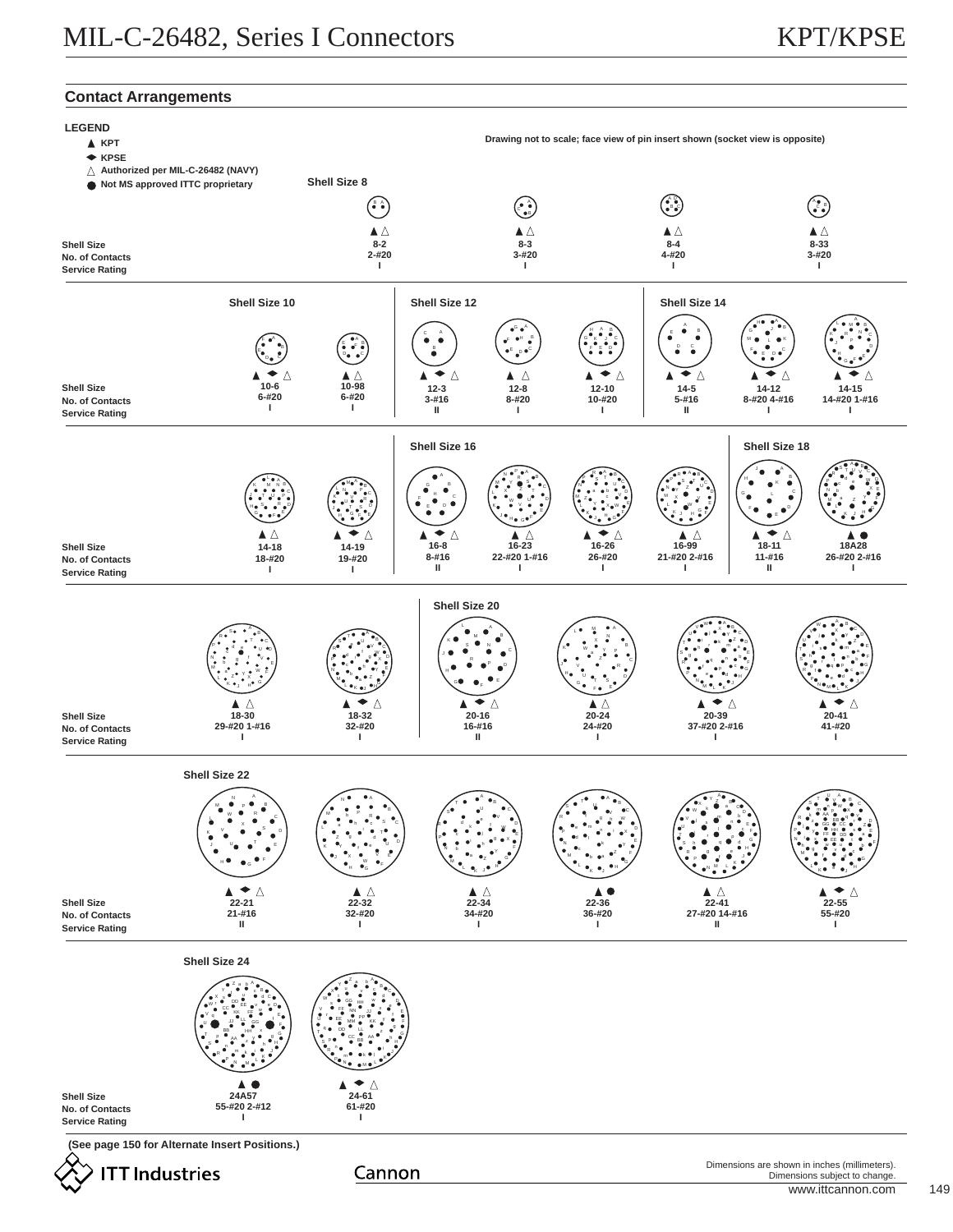# **Contact Arrangements**

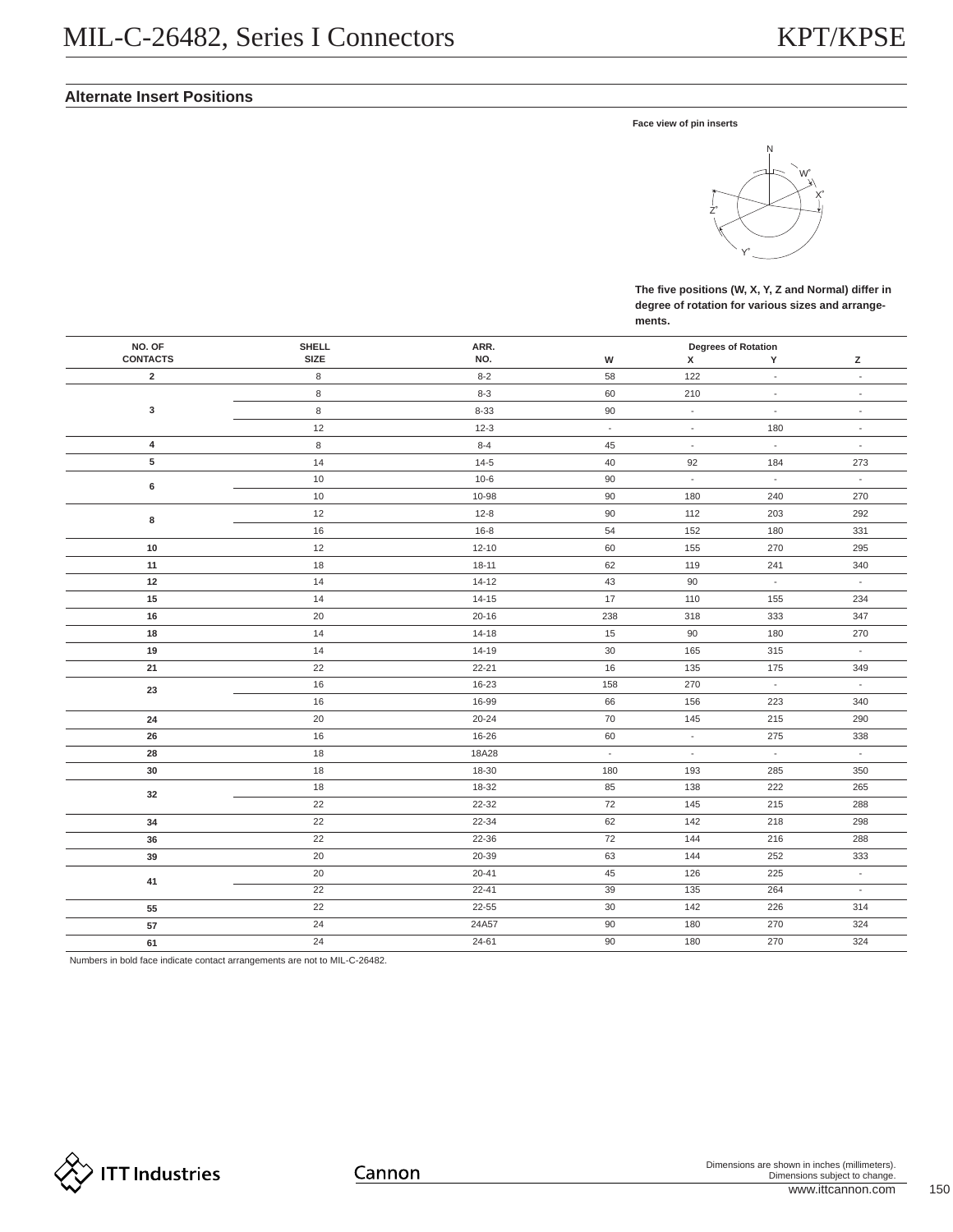# **Alternate Insert Positions**

**Face view of pin inserts**



**The five positions (W, X, Y, Z and Normal) differ in degree of rotation for various sizes and arrangements.**

| NO. OF          | SHELL       | ARR.      |                          |                             | <b>Degrees of Rotation</b>  |                          |
|-----------------|-------------|-----------|--------------------------|-----------------------------|-----------------------------|--------------------------|
| <b>CONTACTS</b> | <b>SIZE</b> | NO.       | W                        | х                           | Y                           | z                        |
| $\overline{2}$  | $\,$ 8 $\,$ | $8 - 2$   | 58                       | 122                         | $\omega$                    | $\overline{\phantom{a}}$ |
|                 | 8           | $8 - 3$   | 60                       | 210                         | $\overline{\phantom{a}}$    | $\overline{\phantom{a}}$ |
| $\mathbf 3$     | $\,8\,$     | $8 - 33$  | 90                       | $\overline{\phantom{a}}$    | $\Box$                      | $\sim$                   |
|                 | 12          | $12 - 3$  | $\overline{\phantom{a}}$ | $\overline{\phantom{a}}$    | 180                         | $\overline{\phantom{a}}$ |
| $\overline{4}$  | $\,8\,$     | $8 - 4$   | 45                       | $\overline{\phantom{a}}$    | $\mathcal{L}_{\mathcal{A}}$ | $\overline{\phantom{a}}$ |
| 5               | 14          | $14 - 5$  | 40                       | 92                          | 184                         | 273                      |
| $\bf 6$         | 10          | $10-6$    | 90                       | $\overline{\phantom{a}}$    | $\overline{\phantom{a}}$    | $\overline{\phantom{a}}$ |
|                 | 10          | 10-98     | 90                       | 180                         | 240                         | 270                      |
| 8               | 12          | $12 - 8$  | 90                       | 112                         | 203                         | 292                      |
|                 | $16\,$      | $16 - 8$  | 54                       | 152                         | 180                         | 331                      |
| $10$            | 12          | $12 - 10$ | 60                       | 155                         | 270                         | 295                      |
| 11              | 18          | $18 - 11$ | 62                       | 119                         | 241                         | 340                      |
| 12              | 14          | $14 - 12$ | 43                       | 90                          | $\omega$                    | $\overline{\phantom{a}}$ |
| 15              | 14          | $14 - 15$ | 17                       | 110                         | 155                         | 234                      |
| 16              | 20          | $20 - 16$ | 238                      | 318                         | 333                         | 347                      |
| 18              | 14          | $14 - 18$ | 15                       | 90                          | 180                         | 270                      |
| 19              | 14          | $14 - 19$ | 30                       | 165                         | 315                         | $\omega$                 |
| 21              | 22          | $22 - 21$ | 16                       | 135                         | 175                         | 349                      |
| 23              | 16          | 16-23     | 158                      | 270                         | $\mathcal{L}_{\mathcal{A}}$ | $\omega$                 |
|                 | 16          | 16-99     | 66                       | 156                         | 223                         | 340                      |
| ${\bf 24}$      | $20\,$      | $20 - 24$ | $70\,$                   | 145                         | 215                         | 290                      |
| 26              | $16\,$      | 16-26     | 60                       | $\mathcal{L}_{\mathcal{A}}$ | 275                         | 338                      |
| 28              | 18          | 18A28     | $\overline{\phantom{a}}$ | $\blacksquare$              | $\omega_{\rm c}$            | $\sim$                   |
| 30              | 18          | 18-30     | 180                      | 193                         | 285                         | 350                      |
| 32              | 18          | 18-32     | 85                       | 138                         | 222                         | 265                      |
|                 | 22          | 22-32     | 72                       | 145                         | 215                         | 288                      |
| 34              | 22          | 22-34     | 62                       | 142                         | 218                         | 298                      |
| 36              | 22          | 22-36     | 72                       | 144                         | 216                         | 288                      |
| 39              | 20          | 20-39     | 63                       | 144                         | 252                         | 333                      |
|                 | 20          | $20 - 41$ | 45                       | 126                         | 225                         | $\omega$                 |
| 41              | 22          | $22 - 41$ | 39                       | 135                         | 264                         | $\omega$                 |
| 55              | 22          | $22 - 55$ | $30\,$                   | 142                         | 226                         | 314                      |
| 57              | 24          | 24A57     | 90                       | 180                         | 270                         | 324                      |
| 61              | 24          | 24-61     | 90                       | 180                         | 270                         | 324                      |

Numbers in bold face indicate contact arrangements are not to MIL-C-26482.

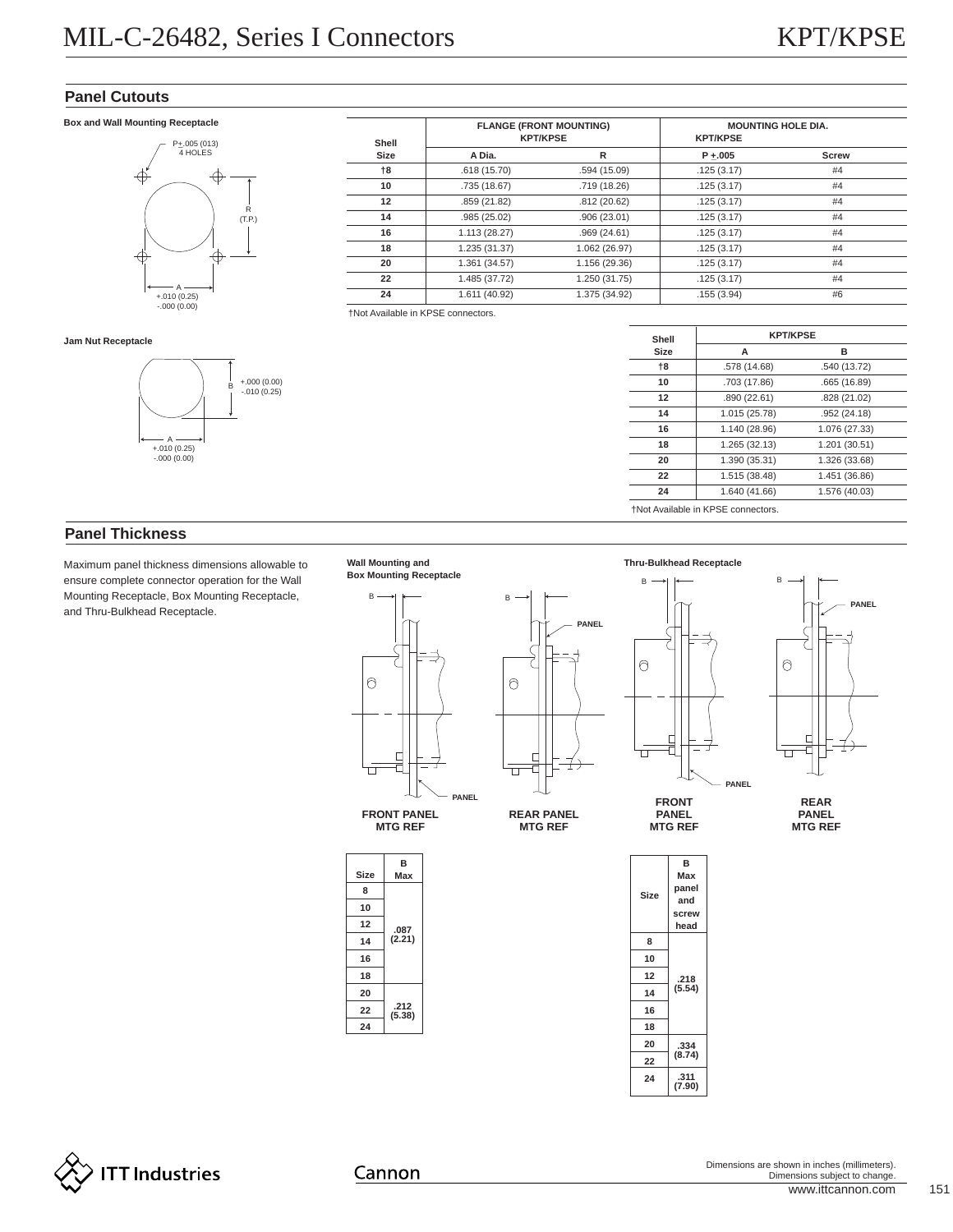# **Panel Cutouts**

## **Box and Wall Mounting Receptacle**



**Shell Size FLANGE (FRONT MOUNTING) KPT/KPSE MOUNTING HOLE DIA. KPT/KPSE A Dia. R P +\_.005 Screw †8 10 12 14 16 18 20 22 24** .618 (15.70) .735 (18.67) .859 (21.82) .985 (25.02) 1.113 (28.27) 1.235 (31.37) 1.361 (34.57) 1.485 (37.72) 1.611 (40.92)  $.594(15.09)$ .719 (18.26) .812 (20.62) .906 (23.01) .969 (24.61) 1.062 (26.97) 1.156 (29.36) 1.250 (31.75) 1.375 (34.92) .125 (3.17) .125 (3.17) .125 (3.17) .125 (3.17) .125 (3.17) .125 (3.17) .125 (3.17) .125 (3.17) .155 (3.94) #4 #4 #4 #4 #4 #4 #4 #4 #6 <sup>A</sup>

†Not Available in KPSE connectors.

| Shell |               | <b>KPT/KPSE</b> |  |  |  |  |
|-------|---------------|-----------------|--|--|--|--|
| Size  | A             | R               |  |  |  |  |
| $+8$  | .578 (14.68)  | .540 (13.72)    |  |  |  |  |
| 10    | .703 (17.86)  | .665 (16.89)    |  |  |  |  |
| 12    | .890 (22.61)  | .828 (21.02)    |  |  |  |  |
| 14    | 1.015 (25.78) | .952 (24.18)    |  |  |  |  |
| 16    | 1.140 (28.96) | 1.076 (27.33)   |  |  |  |  |
| 18    | 1.265 (32.13) | 1.201 (30.51)   |  |  |  |  |
| 20    | 1.390 (35.31) | 1.326 (33.68)   |  |  |  |  |
| 22    | 1.515 (38.48) | 1.451 (36.86)   |  |  |  |  |
| 24    | 1.640 (41.66) | 1.576 (40.03)   |  |  |  |  |

**Jam Nut Receptacle**



# **Panel Thickness**

Maximum panel thickness dimensions allowable to **Wall Mounting and Thru-Bulkhead Receptacle** ensure complete connector operation for the Wall Mounting Receptacle, Box Mounting Receptacle, and Thru-Bulkhead Receptacle.



**B Max**

**MTG REF**

**.087 (2.21)**

**.212 (5.38)**

**Size**



**MTG REF**



 $\circ$ 

П



**REAR PANEL MTG REF**

**PANEL**

|      | в              |  |  |  |  |
|------|----------------|--|--|--|--|
|      | Max            |  |  |  |  |
| Size | panel          |  |  |  |  |
|      | and            |  |  |  |  |
|      | screw          |  |  |  |  |
|      | head           |  |  |  |  |
| 8    |                |  |  |  |  |
| 10   |                |  |  |  |  |
| 12   | .218           |  |  |  |  |
| 14   | (5.54)         |  |  |  |  |
| 16   |                |  |  |  |  |
| 18   |                |  |  |  |  |
| 20   | .334           |  |  |  |  |
| 22   | (8.74)         |  |  |  |  |
| 24   | .311<br>(7.90) |  |  |  |  |
|      |                |  |  |  |  |



Cannon

www.ittcannon.com 151 Dimensions are shown in inches (millimeters). Dimensions subject to change.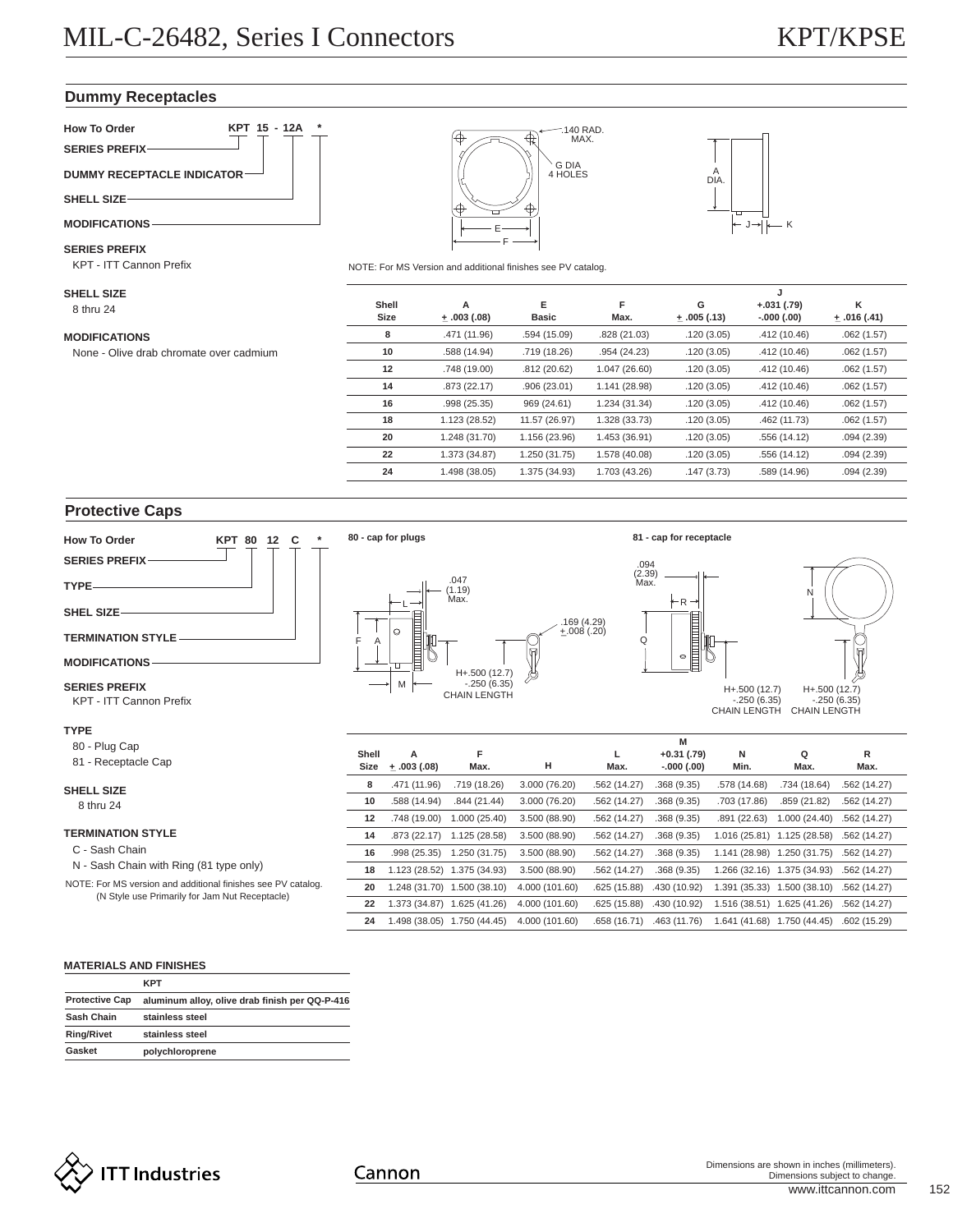# **Dummy Receptacles**



#### **SERIES PREFIX**

KPT - ITT Cannon Prefix

8 thru 24 **SHELL SIZE**

**MODIFICATIONS**

None - Olive drab chromate over cadmium





NOTE: For MS Version and additional finishes see PV catalog.

|       |                  |               |               |                  | J            |                 |
|-------|------------------|---------------|---------------|------------------|--------------|-----------------|
| Shell | A                | Е             | F             | G                | $+.031(.79)$ | ĸ               |
| Size  | $\pm .003$ (.08) | <b>Basic</b>  | Max.          | $\pm .005$ (.13) | $-.000(.00)$ | $\pm .016(.41)$ |
| 8     | .471 (11.96)     | .594 (15.09)  | .828 (21.03)  | .120(3.05)       | .412 (10.46) | .062(1.57)      |
| 10    | .588 (14.94)     | .719 (18.26)  | .954 (24.23)  | .120(3.05)       | .412 (10.46) | .062(1.57)      |
| 12    | .748 (19.00)     | .812(20.62)   | 1.047 (26.60) | .120(3.05)       | .412 (10.46) | .062(1.57)      |
| 14    | .873 (22.17)     | .906(23.01)   | 1.141 (28.98) | .120(3.05)       | .412 (10.46) | .062(1.57)      |
| 16    | .998 (25.35)     | 969 (24.61)   | 1.234 (31.34) | .120(3.05)       | .412 (10.46) | .062(1.57)      |
| 18    | 1.123 (28.52)    | 11.57 (26.97) | 1.328 (33.73) | .120(3.05)       | .462 (11.73) | .062(1.57)      |
| 20    | 1.248 (31.70)    | 1.156 (23.96) | 1.453 (36.91) | .120(3.05)       | .556 (14.12) | .094(2.39)      |
| 22    | 1.373 (34.87)    | 1.250 (31.75) | 1.578 (40.08) | .120(3.05)       | .556 (14.12) | .094(2.39)      |
| 24    | 1.498 (38.05)    | 1.375 (34.93) | 1.703 (43.26) | .147(3.73)       | .589 (14.96) | .094(2.39)      |
|       |                  |               |               |                  |              |                 |

# **Protective Caps**



## **TERMINATION STYLE**

- C Sash Chain
- N Sash Chain with Ring (81 type only)

NOTE: For MS version and additional finishes see PV catalog. (N Style use Primarily for Jam Nut Receptacle)

| Size | $+ .003(.08)$ | Max.                        | н              | Max.         | $-.000(.00)$ | Min.         | Max.                        | Max.         |  |
|------|---------------|-----------------------------|----------------|--------------|--------------|--------------|-----------------------------|--------------|--|
| 8    | .471 (11.96)  | .719 (18.26)                | 3.000 (76.20)  | .562 (14.27) | .368(9.35)   | .578 (14.68) | .734 (18.64)                | .562 (14.27) |  |
| 10   | .588 (14.94)  | .844(21.44)                 | 3.000(76.20)   | .562 (14.27) | .368(9.35)   | .703 (17.86) | .859(21.82)                 | .562(14.27)  |  |
| 12   | .748 (19.00)  | 1.000(25.40)                | 3.500 (88.90)  | .562 (14.27) | .368(9.35)   | .891(22.63)  | 1.000(24.40)                | .562 (14.27) |  |
| 14   | .873(22.17)   | 1.125 (28.58)               | 3.500 (88.90)  | .562 (14.27) | .368(9.35)   |              | 1.016 (25.81) 1.125 (28.58) | .562 (14.27) |  |
| 16   | .998(25.35)   | 1.250 (31.75)               | 3.500 (88.90)  | .562 (14.27) | .368(9.35)   |              | 1.141 (28.98) 1.250 (31.75) | .562 (14.27) |  |
| 18   |               | 1.123 (28.52) 1.375 (34.93) | 3.500 (88.90)  | .562 (14.27) | .368(9.35)   |              | 1.266 (32.16) 1.375 (34.93) | .562 (14.27) |  |
| 20   |               | 1.248 (31.70) 1.500 (38.10) | 4.000 (101.60) | .625(15.88)  | .430 (10.92) |              | 1.391 (35.33) 1.500 (38.10) | .562 (14.27) |  |
| 22   |               | 1.373 (34.87) 1.625 (41.26) | 4.000 (101.60) | .625(15.88)  | .430 (10.92) |              | 1.516 (38.51) 1.625 (41.26) | .562 (14.27) |  |
| 24   |               | 1.498 (38.05) 1.750 (44.45) | 4.000 (101.60) | .658 (16.71) | .463 (11.76) |              | 1.641 (41.68) 1.750 (44.45) | .602(15.29)  |  |

# **MATERIALS AND FINISHES**

|                       | <b>KPT</b>                                     |
|-----------------------|------------------------------------------------|
| <b>Protective Cap</b> | aluminum alloy, olive drab finish per QQ-P-416 |
| Sash Chain            | stainless steel                                |
| <b>Ring/Rivet</b>     | stainless steel                                |
| Gasket                | polychloroprene                                |



Cannon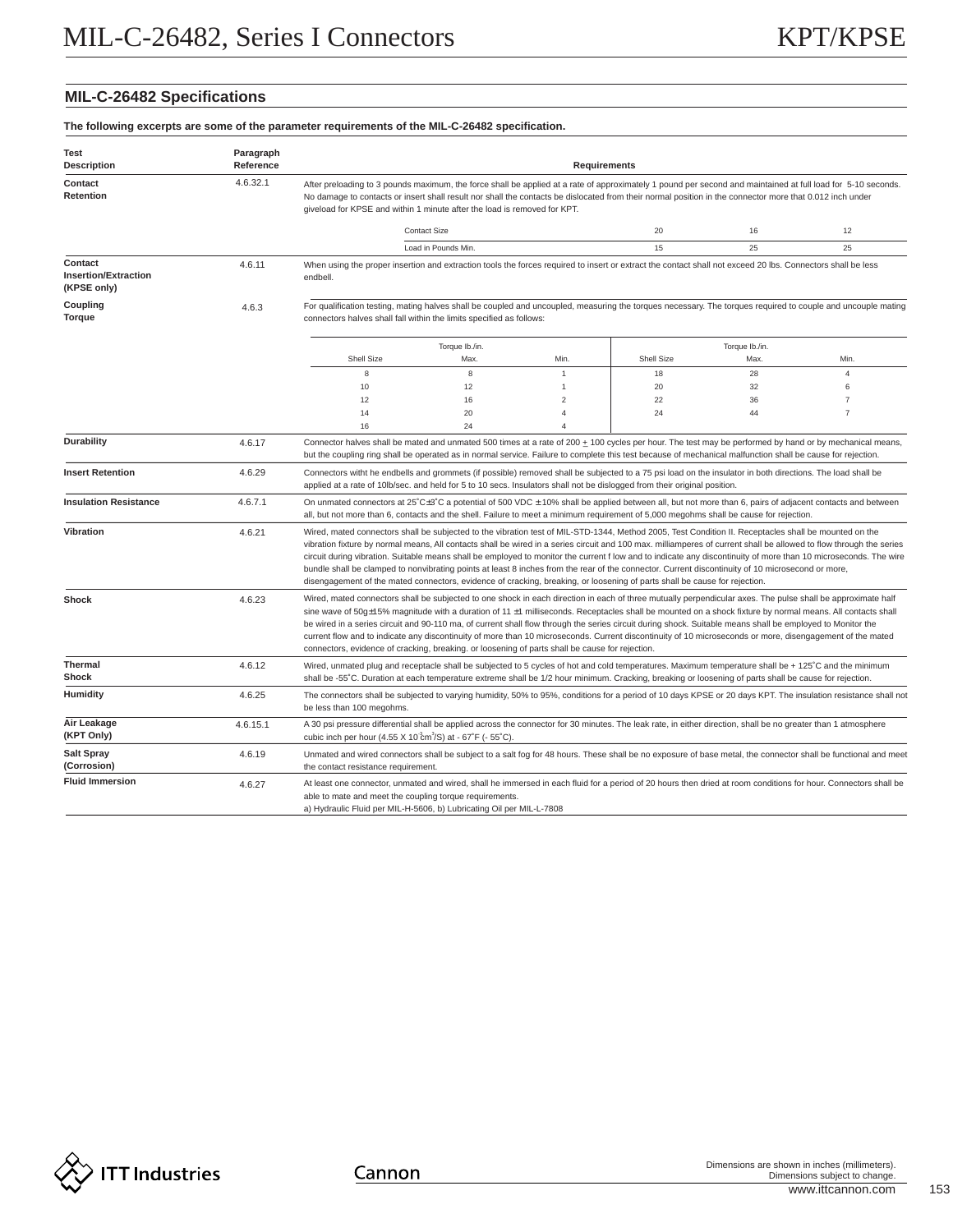# **MIL-C-26482 Specifications**

| The following excerpts are some of the parameter requirements of the MIL-C-26482 specification. |  |  |
|-------------------------------------------------------------------------------------------------|--|--|
|                                                                                                 |  |  |

| Test<br><b>Description</b>                            | Paragraph<br>Reference |                                                                                                                                                                                                                                                                                                                                                                                                                                                                                                                                                                                                                                                                                                                                                        | <b>Requirements</b>                                                                                                                                                                                                                                                                                                                                                                                                                                                                                                                                                                                                                                                                                                                                                                 |                |            |                |                |  |  |  |
|-------------------------------------------------------|------------------------|--------------------------------------------------------------------------------------------------------------------------------------------------------------------------------------------------------------------------------------------------------------------------------------------------------------------------------------------------------------------------------------------------------------------------------------------------------------------------------------------------------------------------------------------------------------------------------------------------------------------------------------------------------------------------------------------------------------------------------------------------------|-------------------------------------------------------------------------------------------------------------------------------------------------------------------------------------------------------------------------------------------------------------------------------------------------------------------------------------------------------------------------------------------------------------------------------------------------------------------------------------------------------------------------------------------------------------------------------------------------------------------------------------------------------------------------------------------------------------------------------------------------------------------------------------|----------------|------------|----------------|----------------|--|--|--|
| Contact<br>Retention                                  | 4.6.32.1               | After preloading to 3 pounds maximum, the force shall be applied at a rate of approximately 1 pound per second and maintained at full load for 5-10 seconds.<br>No damage to contacts or insert shall result nor shall the contacts be dislocated from their normal position in the connector more that 0.012 inch under<br>giveload for KPSE and within 1 minute after the load is removed for KPT.                                                                                                                                                                                                                                                                                                                                                   |                                                                                                                                                                                                                                                                                                                                                                                                                                                                                                                                                                                                                                                                                                                                                                                     |                |            |                |                |  |  |  |
|                                                       |                        |                                                                                                                                                                                                                                                                                                                                                                                                                                                                                                                                                                                                                                                                                                                                                        | <b>Contact Size</b>                                                                                                                                                                                                                                                                                                                                                                                                                                                                                                                                                                                                                                                                                                                                                                 |                | 20         | 12<br>16       |                |  |  |  |
|                                                       |                        |                                                                                                                                                                                                                                                                                                                                                                                                                                                                                                                                                                                                                                                                                                                                                        | Load in Pounds Min.                                                                                                                                                                                                                                                                                                                                                                                                                                                                                                                                                                                                                                                                                                                                                                 |                | 15         | 25             | 25             |  |  |  |
| Contact<br><b>Insertion/Extraction</b><br>(KPSE only) | 4.6.11                 | endbell.                                                                                                                                                                                                                                                                                                                                                                                                                                                                                                                                                                                                                                                                                                                                               | When using the proper insertion and extraction tools the forces required to insert or extract the contact shall not exceed 20 lbs. Connectors shall be less                                                                                                                                                                                                                                                                                                                                                                                                                                                                                                                                                                                                                         |                |            |                |                |  |  |  |
| Coupling<br>Torque                                    | 4.6.3                  | For qualification testing, mating halves shall be coupled and uncoupled, measuring the torques necessary. The torques required to couple and uncouple mating<br>connectors halves shall fall within the limits specified as follows:                                                                                                                                                                                                                                                                                                                                                                                                                                                                                                                   |                                                                                                                                                                                                                                                                                                                                                                                                                                                                                                                                                                                                                                                                                                                                                                                     |                |            |                |                |  |  |  |
|                                                       |                        |                                                                                                                                                                                                                                                                                                                                                                                                                                                                                                                                                                                                                                                                                                                                                        | Torque Ib./in.                                                                                                                                                                                                                                                                                                                                                                                                                                                                                                                                                                                                                                                                                                                                                                      |                |            | Torque Ib./in. |                |  |  |  |
|                                                       |                        | Shell Size                                                                                                                                                                                                                                                                                                                                                                                                                                                                                                                                                                                                                                                                                                                                             | Max.                                                                                                                                                                                                                                                                                                                                                                                                                                                                                                                                                                                                                                                                                                                                                                                | Min.           | Shell Size | Max.           | Min.           |  |  |  |
|                                                       |                        | 8                                                                                                                                                                                                                                                                                                                                                                                                                                                                                                                                                                                                                                                                                                                                                      | $\,$ 8 $\,$                                                                                                                                                                                                                                                                                                                                                                                                                                                                                                                                                                                                                                                                                                                                                                         | $\mathbf{1}$   | 18         | 28             | $\overline{4}$ |  |  |  |
|                                                       |                        | 10                                                                                                                                                                                                                                                                                                                                                                                                                                                                                                                                                                                                                                                                                                                                                     | 12                                                                                                                                                                                                                                                                                                                                                                                                                                                                                                                                                                                                                                                                                                                                                                                  | $\overline{1}$ | 20         | 32             | 6              |  |  |  |
|                                                       |                        | 12                                                                                                                                                                                                                                                                                                                                                                                                                                                                                                                                                                                                                                                                                                                                                     | 16                                                                                                                                                                                                                                                                                                                                                                                                                                                                                                                                                                                                                                                                                                                                                                                  | $\overline{c}$ | 22         | 36             | $\overline{7}$ |  |  |  |
|                                                       |                        | 14                                                                                                                                                                                                                                                                                                                                                                                                                                                                                                                                                                                                                                                                                                                                                     | 20                                                                                                                                                                                                                                                                                                                                                                                                                                                                                                                                                                                                                                                                                                                                                                                  | $\overline{4}$ | 24         | 44             | $\overline{7}$ |  |  |  |
|                                                       |                        | 16                                                                                                                                                                                                                                                                                                                                                                                                                                                                                                                                                                                                                                                                                                                                                     | 24                                                                                                                                                                                                                                                                                                                                                                                                                                                                                                                                                                                                                                                                                                                                                                                  | $\overline{4}$ |            |                |                |  |  |  |
| Durability                                            | 4.6.17                 | Connector halves shall be mated and unmated 500 times at a rate of 200 $\pm$ 100 cycles per hour. The test may be performed by hand or by mechanical means,<br>but the coupling ring shall be operated as in normal service. Failure to complete this test because of mechanical malfunction shall be cause for rejection.                                                                                                                                                                                                                                                                                                                                                                                                                             |                                                                                                                                                                                                                                                                                                                                                                                                                                                                                                                                                                                                                                                                                                                                                                                     |                |            |                |                |  |  |  |
| <b>Insert Retention</b>                               | 4.6.29                 |                                                                                                                                                                                                                                                                                                                                                                                                                                                                                                                                                                                                                                                                                                                                                        | Connectors witht he endbells and grommets (if possible) removed shall be subjected to a 75 psi load on the insulator in both directions. The load shall be<br>applied at a rate of 10lb/sec. and held for 5 to 10 secs. Insulators shall not be dislogged from their original position.                                                                                                                                                                                                                                                                                                                                                                                                                                                                                             |                |            |                |                |  |  |  |
| <b>Insulation Resistance</b>                          | 4.6.7.1                |                                                                                                                                                                                                                                                                                                                                                                                                                                                                                                                                                                                                                                                                                                                                                        | On unmated connectors at 25°C±3°C a potential of 500 VDC ± 10% shall be applied between all, but not more than 6, pairs of adjacent contacts and between<br>all, but not more than 6, contacts and the shell. Failure to meet a minimum requirement of 5,000 megohms shall be cause for rejection.                                                                                                                                                                                                                                                                                                                                                                                                                                                                                  |                |            |                |                |  |  |  |
| Vibration                                             | 4.6.21                 |                                                                                                                                                                                                                                                                                                                                                                                                                                                                                                                                                                                                                                                                                                                                                        | Wired, mated connectors shall be subjected to the vibration test of MIL-STD-1344, Method 2005, Test Condition II. Receptacles shall be mounted on the<br>vibration fixture by normal means, All contacts shall be wired in a series circuit and 100 max. milliamperes of current shall be allowed to flow through the series<br>circuit during vibration. Suitable means shall be employed to monitor the current f low and to indicate any discontinuity of more than 10 microseconds. The wire<br>bundle shall be clamped to nonvibrating points at least 8 inches from the rear of the connector. Current discontinuity of 10 microsecond or more,<br>disengagement of the mated connectors, evidence of cracking, breaking, or loosening of parts shall be cause for rejection. |                |            |                |                |  |  |  |
| Shock                                                 | 4.6.23                 | Wired, mated connectors shall be subjected to one shock in each direction in each of three mutually perpendicular axes. The pulse shall be approximate half<br>sine wave of 50g±15% magnitude with a duration of 11 ±1 milliseconds. Receptacles shall be mounted on a shock fixture by normal means. All contacts shall<br>be wired in a series circuit and 90-110 ma, of current shall flow through the series circuit during shock. Suitable means shall be employed to Monitor the<br>current flow and to indicate any discontinuity of more than 10 microseconds. Current discontinuity of 10 microseconds or more, disengagement of the mated<br>connectors, evidence of cracking, breaking. or loosening of parts shall be cause for rejection. |                                                                                                                                                                                                                                                                                                                                                                                                                                                                                                                                                                                                                                                                                                                                                                                     |                |            |                |                |  |  |  |
| <b>Thermal</b><br>Shock                               | 4.6.12                 | Wired, unmated plug and receptacle shall be subjected to 5 cycles of hot and cold temperatures. Maximum temperature shall be + 125°C and the minimum<br>shall be -55°C. Duration at each temperature extreme shall be 1/2 hour minimum. Cracking, breaking or loosening of parts shall be cause for rejection.                                                                                                                                                                                                                                                                                                                                                                                                                                         |                                                                                                                                                                                                                                                                                                                                                                                                                                                                                                                                                                                                                                                                                                                                                                                     |                |            |                |                |  |  |  |
| <b>Humidity</b>                                       | 4.6.25                 | The connectors shall be subjected to varying humidity, 50% to 95%, conditions for a period of 10 days KPSE or 20 days KPT. The insulation resistance shall not<br>be less than 100 megohms.                                                                                                                                                                                                                                                                                                                                                                                                                                                                                                                                                            |                                                                                                                                                                                                                                                                                                                                                                                                                                                                                                                                                                                                                                                                                                                                                                                     |                |            |                |                |  |  |  |
| Air Leakage<br>(KPT Only)                             | 4.6.15.1               | A 30 psi pressure differential shall be applied across the connector for 30 minutes. The leak rate, in either direction, shall be no greater than 1 atmosphere<br>cubic inch per hour (4.55 X 10 <sup>-3</sup> cm <sup>3</sup> /S) at - 67 <sup>°</sup> F (- 55 <sup>°</sup> C).                                                                                                                                                                                                                                                                                                                                                                                                                                                                       |                                                                                                                                                                                                                                                                                                                                                                                                                                                                                                                                                                                                                                                                                                                                                                                     |                |            |                |                |  |  |  |
| <b>Salt Spray</b><br>(Corrosion)                      | 4.6.19                 | Unmated and wired connectors shall be subject to a salt fog for 48 hours. These shall be no exposure of base metal, the connector shall be functional and meet<br>the contact resistance requirement.                                                                                                                                                                                                                                                                                                                                                                                                                                                                                                                                                  |                                                                                                                                                                                                                                                                                                                                                                                                                                                                                                                                                                                                                                                                                                                                                                                     |                |            |                |                |  |  |  |
| <b>Fluid Immersion</b>                                | 4.6.27                 | At least one connector, unmated and wired, shall he immersed in each fluid for a period of 20 hours then dried at room conditions for hour. Connectors shall be<br>able to mate and meet the coupling torque requirements.<br>a) Hydraulic Fluid per MIL-H-5606, b) Lubricating Oil per MIL-L-7808                                                                                                                                                                                                                                                                                                                                                                                                                                                     |                                                                                                                                                                                                                                                                                                                                                                                                                                                                                                                                                                                                                                                                                                                                                                                     |                |            |                |                |  |  |  |

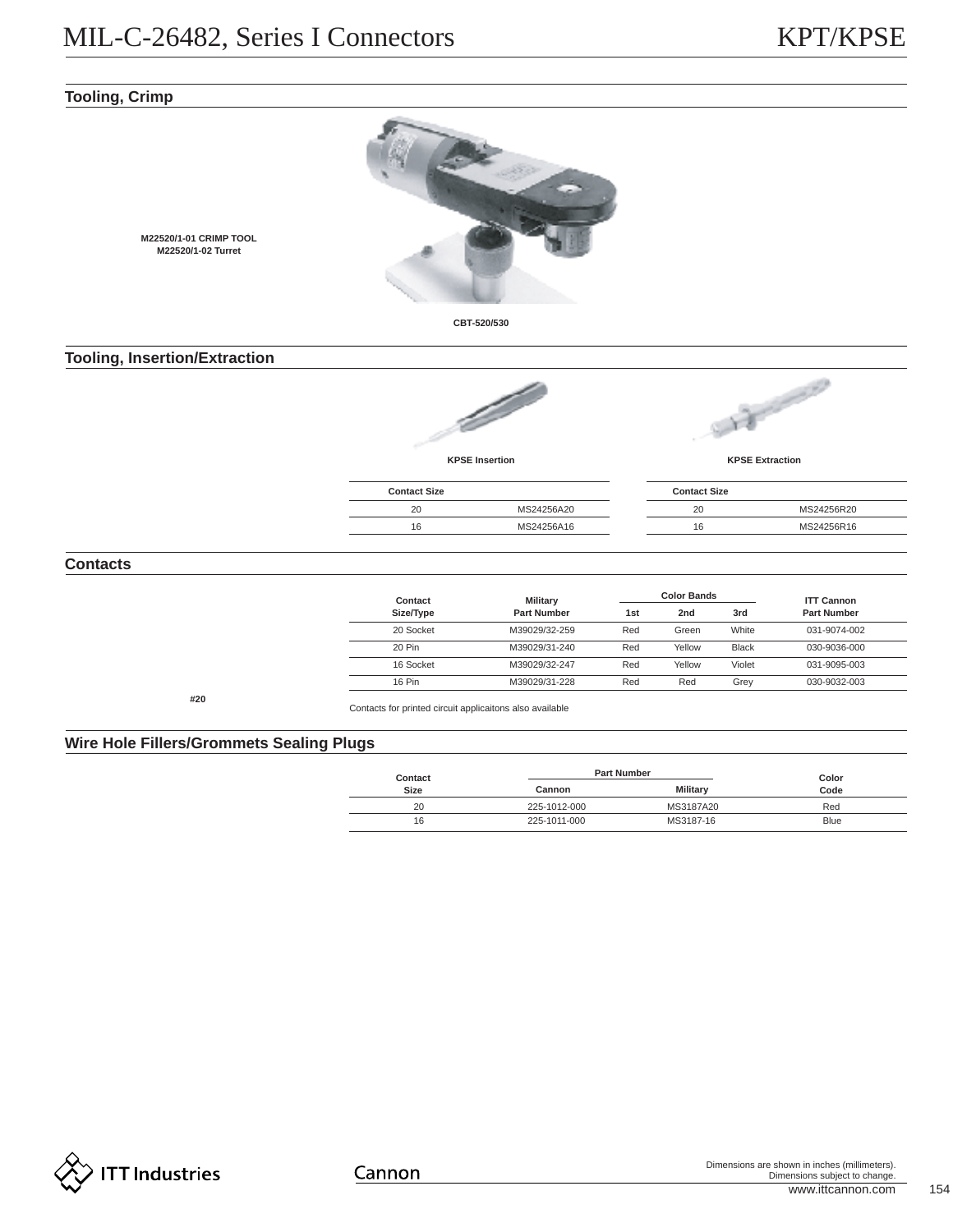# **Tooling, Crimp**



# **Tooling, Insertion/Extraction**

**M22520/1-01 CRIMP TOOL M22520/1-02 Turret**



**KPSE Insertion**



**KPSE Extraction**

| <b>Contact Size</b> |            | <b>Contact Size</b> |            |
|---------------------|------------|---------------------|------------|
| 20                  | MS24256A20 | 20                  | MS24256R20 |
| 16                  | MS24256A16 | 16                  | MS24256R16 |
|                     |            |                     |            |

# **Contacts**

| Contact   | <b>Military</b>    |     | <b>Color Bands</b> |              | <b>ITT Cannon</b>  |
|-----------|--------------------|-----|--------------------|--------------|--------------------|
| Size/Type | <b>Part Number</b> | 1st | 2nd                | 3rd          | <b>Part Number</b> |
| 20 Socket | M39029/32-259      | Red | Green              | White        | 031-9074-002       |
| 20 Pin    | M39029/31-240      | Red | Yellow             | <b>Black</b> | 030-9036-000       |
| 16 Socket | M39029/32-247      | Red | Yellow             | Violet       | 031-9095-003       |
| 16 Pin    | M39029/31-228      | Red | Red                | Grey         | 030-9032-003       |

**#20**

Contacts for printed circuit applicaitons also available

# **Wire Hole Fillers/Grommets Sealing Plugs**

| Contact |              | <b>Part Number</b> |               |  |  |  |
|---------|--------------|--------------------|---------------|--|--|--|
| Size    | Cannon       |                    | Color<br>Code |  |  |  |
| 20      | 225-1012-000 | MS3187A20          | Red           |  |  |  |
| 16      | 225-1011-000 | MS3187-16          | Blue          |  |  |  |
|         |              |                    |               |  |  |  |

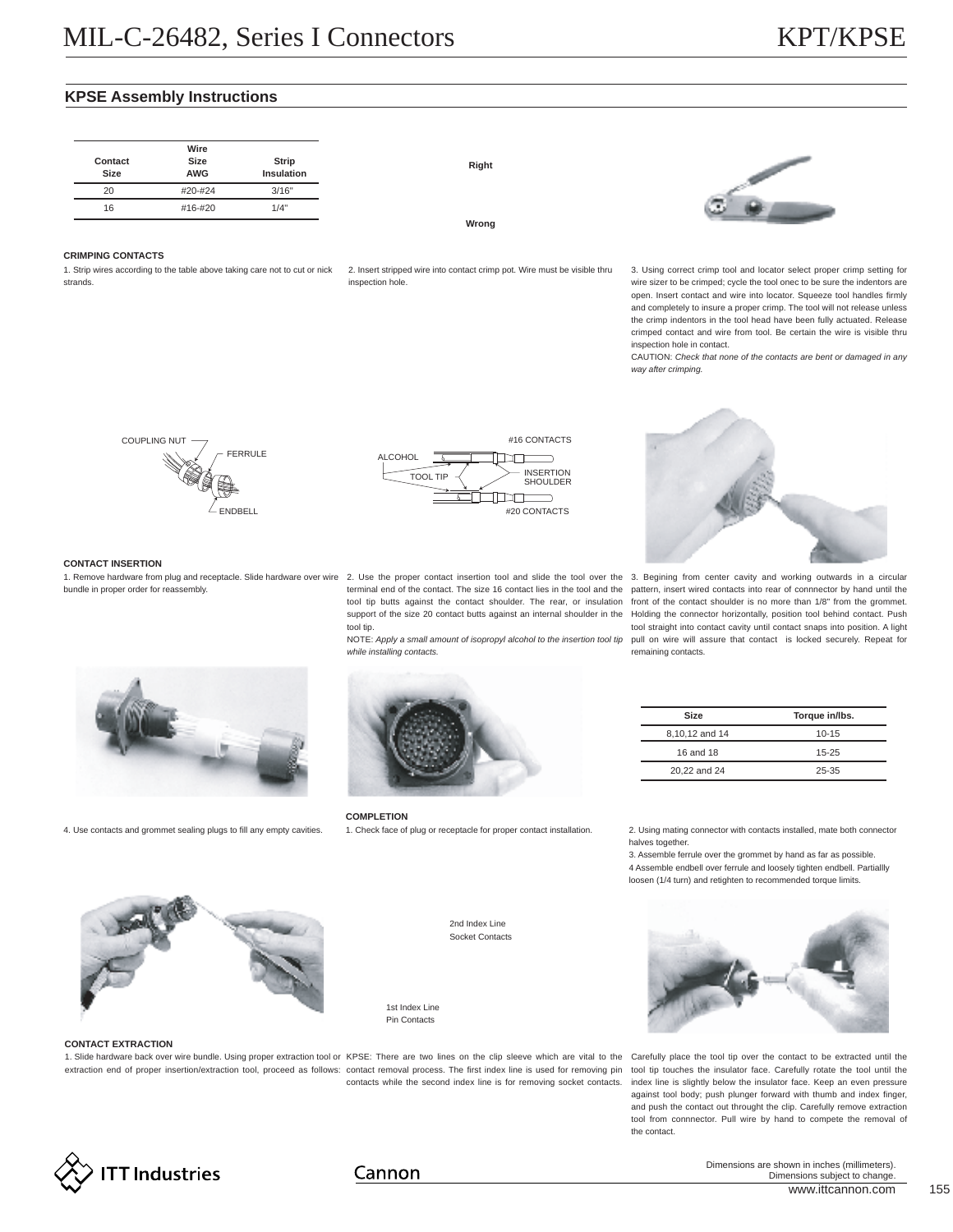# **KPSE Assembly Instructions**

**Wrong**



**CRIMPING CONTACTS**

1. Strip wires according to the table above taking care not to cut or nick 2. Insert stripped wire into contact crimp pot. Wire must be visible thru strands.

inspection hole.



CAUTION: *Check that none of the contacts are bent or damaged in any way after crimping.*







**CONTACT INSERTION**

bundle in proper order for reassembly.

1. Remove hardware from plug and receptacle. Slide hardware over wire 2. Use the proper contact insertion tool and slide the tool over the 3. Begining from center cavity and working outwards in a circular terminal end of the contact. The size 16 contact lies in the tool and the pattern, insert wired contacts into rear of connnector by hand until the tool tip.

*while installing contacts.*



**Torque in/lbs.** 10-15 15-25 25-35



4. Use contacts and grommet sealing plugs to fill any empty cavities.



**COMPLETION**

1. Check face of plug or receptacle for proper contact installation. 2. Using mating connector with contacts installed, mate both connector

halves together.

**Size** 8,10,12 and 14 16 and 18 20,22 and 24

3. Assemble ferrule over the grommet by hand as far as possible. 4 Assemble endbell over ferrule and loosely tighten endbell. Partiallly loosen (1/4 turn) and retighten to recommended torque limits.



#### **CONTACT EXTRACTION**

1. Slide hardware back over wire bundle. Using proper extraction tool or KPSE: There are two lines on the clip sleeve which are vital to the Carefully place the tool tip over the contact to be extracted until the extraction end of proper insertion/extraction tool, proceed as follows: contact removal process. The first index line is used for removing pin tool tip touches the insulator face. Carefully rotate the tool until the

2nd Index Line Socket Contacts

1st Index Line Pin Contacts



contacts while the second index line is for removing socket contacts. index line is slightly below the insulator face. Keep an even pressure against tool body; push plunger forward with thumb and index finger, and push the contact out throught the clip. Carefully remove extraction tool from connnector. Pull wire by hand to compete the removal of the contact.



# Cannon

www.ittcannon.com 155 Dimensions are shown in inches (millimeters). Dimensions subject to change.